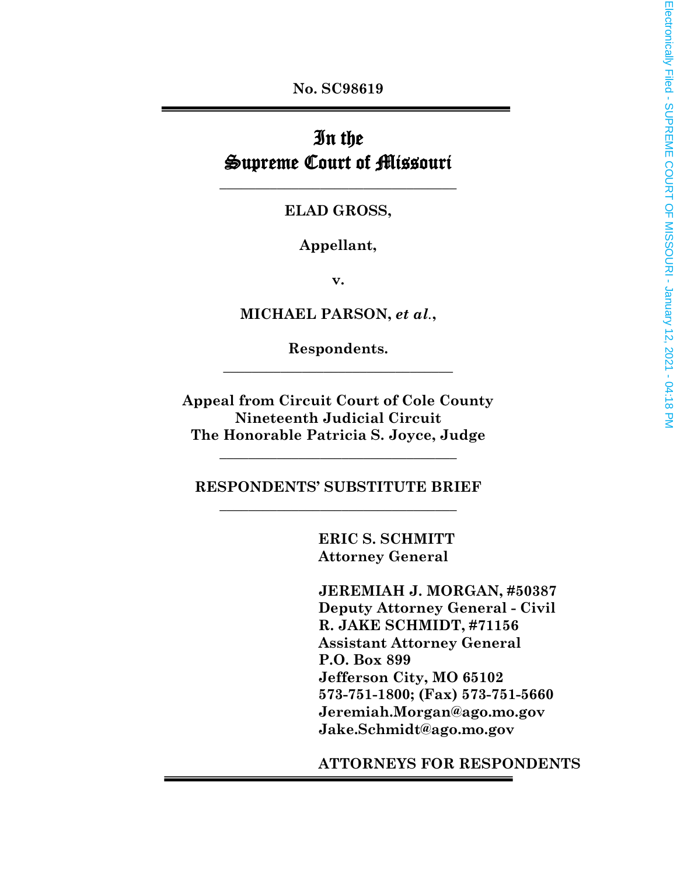**No. SC98619**

# In the Supreme Court of Missouri

**ELAD GROSS,**

**\_\_\_\_\_\_\_\_\_\_\_\_\_\_\_\_\_\_\_\_\_\_\_\_\_\_\_\_\_\_\_\_\_**

**Appellant,**

**v.**

**MICHAEL PARSON,** *et al.***,**

**Respondents. \_\_\_\_\_\_\_\_\_\_\_\_\_\_\_\_\_\_\_\_\_\_\_\_\_\_\_\_\_\_\_\_**

**Appeal from Circuit Court of Cole County Nineteenth Judicial Circuit The Honorable Patricia S. Joyce, Judge**

**RESPONDENTS' SUBSTITUTE BRIEF \_\_\_\_\_\_\_\_\_\_\_\_\_\_\_\_\_\_\_\_\_\_\_\_\_\_\_\_\_\_\_\_\_**

**\_\_\_\_\_\_\_\_\_\_\_\_\_\_\_\_\_\_\_\_\_\_\_\_\_\_\_\_\_\_\_\_\_**

**ERIC S. SCHMITT Attorney General**

**JEREMIAH J. MORGAN, #50387 Deputy Attorney General - Civil R. JAKE SCHMIDT, #71156 Assistant Attorney General P.O. Box 899 Jefferson City, MO 65102 573-751-1800; (Fax) 573-751-5660 Jeremiah.Morgan@ago.mo.gov Jake.Schmidt@ago.mo.gov**

**ATTORNEYS FOR RESPONDENTS**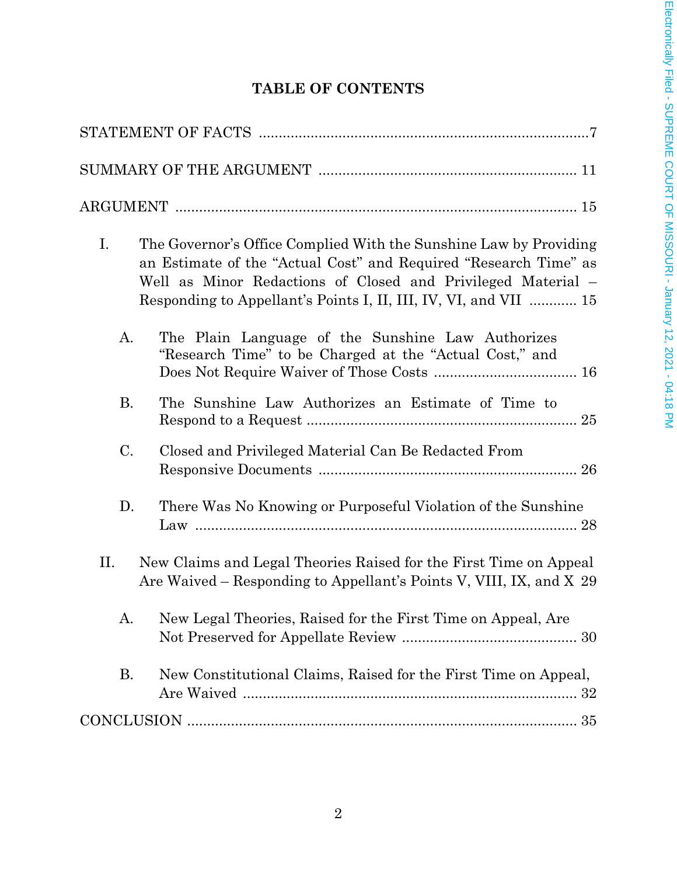# **TABLE OF CONTENTS**

| I.<br>The Governor's Office Complied With the Sunshine Law by Providing<br>an Estimate of the "Actual Cost" and Required "Research Time" as<br>Well as Minor Redactions of Closed and Privileged Material –<br>Responding to Appellant's Points I, II, III, IV, VI, and VII  15 |  |
|---------------------------------------------------------------------------------------------------------------------------------------------------------------------------------------------------------------------------------------------------------------------------------|--|
| The Plain Language of the Sunshine Law Authorizes<br>А.<br>"Research Time" to be Charged at the "Actual Cost," and                                                                                                                                                              |  |
| Β.<br>The Sunshine Law Authorizes an Estimate of Time to                                                                                                                                                                                                                        |  |
| C.<br>Closed and Privileged Material Can Be Redacted From                                                                                                                                                                                                                       |  |
| There Was No Knowing or Purposeful Violation of the Sunshine<br>D.                                                                                                                                                                                                              |  |
| П.<br>New Claims and Legal Theories Raised for the First Time on Appeal<br>Are Waived – Responding to Appellant's Points V, VIII, IX, and X 29                                                                                                                                  |  |
| New Legal Theories, Raised for the First Time on Appeal, Are<br>Α.                                                                                                                                                                                                              |  |
| New Constitutional Claims, Raised for the First Time on Appeal,<br>В.                                                                                                                                                                                                           |  |
|                                                                                                                                                                                                                                                                                 |  |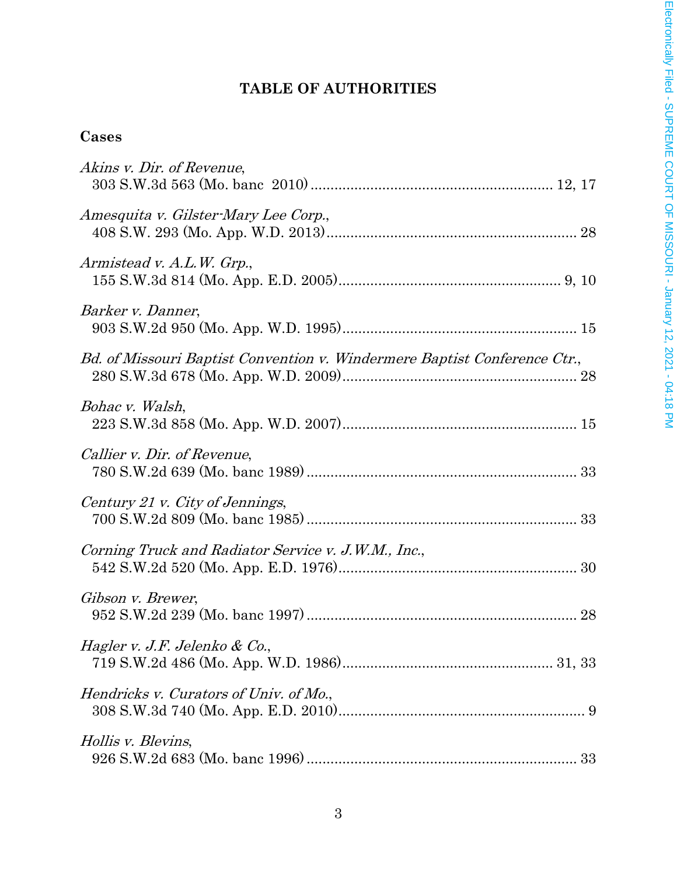# **TABLE OF AUTHORITIES**

# **Cases**

| Akins v. Dir. of Revenue,                                                 |
|---------------------------------------------------------------------------|
| Amesquita v. Gilster-Mary Lee Corp.,                                      |
| Armistead v. A.L.W. Grp.,                                                 |
| Barker v. Danner,                                                         |
| Bd. of Missouri Baptist Convention v. Windermere Baptist Conference Ctr., |
| Bohac v. Walsh,                                                           |
| Callier v. Dir. of Revenue,                                               |
| Century 21 v. City of Jennings,                                           |
| Corning Truck and Radiator Service v. J.W.M., Inc.,                       |
| Gibson v. Brewer,                                                         |
| Hagler v. J.F. Jelenko & Co.,                                             |
| Hendricks v. Curators of Univ. of Mo.,                                    |
| Hollis v. Blevins,                                                        |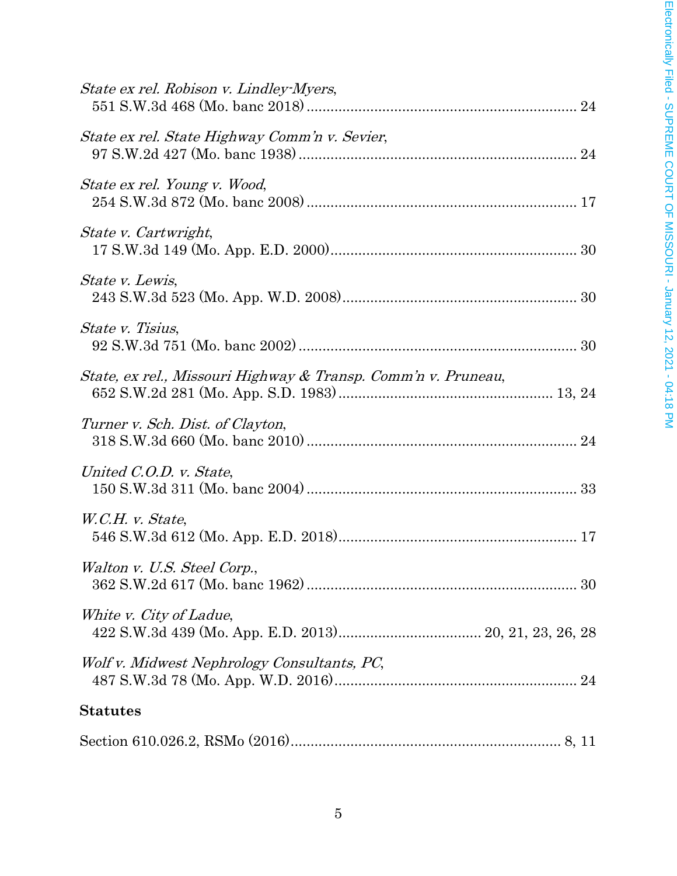| State ex rel. Robison v. Lindley-Myers,                       |
|---------------------------------------------------------------|
| State ex rel. State Highway Comm'n v. Sevier,                 |
| State ex rel. Young v. Wood,                                  |
| State v. Cartwright,                                          |
| State v. Lewis,                                               |
| State v. Tisius,                                              |
| State, ex rel., Missouri Highway & Transp. Comm'n v. Pruneau, |
| Turner v. Sch. Dist. of Clayton,                              |
| United C.O.D. v. State,                                       |
| W.C.H. v. State,                                              |
| Walton v. U.S. Steel Corp.,                                   |
| White v. City of Ladue,                                       |
| Wolf v. Midwest Nephrology Consultants, PC,                   |
| <b>Statutes</b>                                               |
|                                                               |
|                                                               |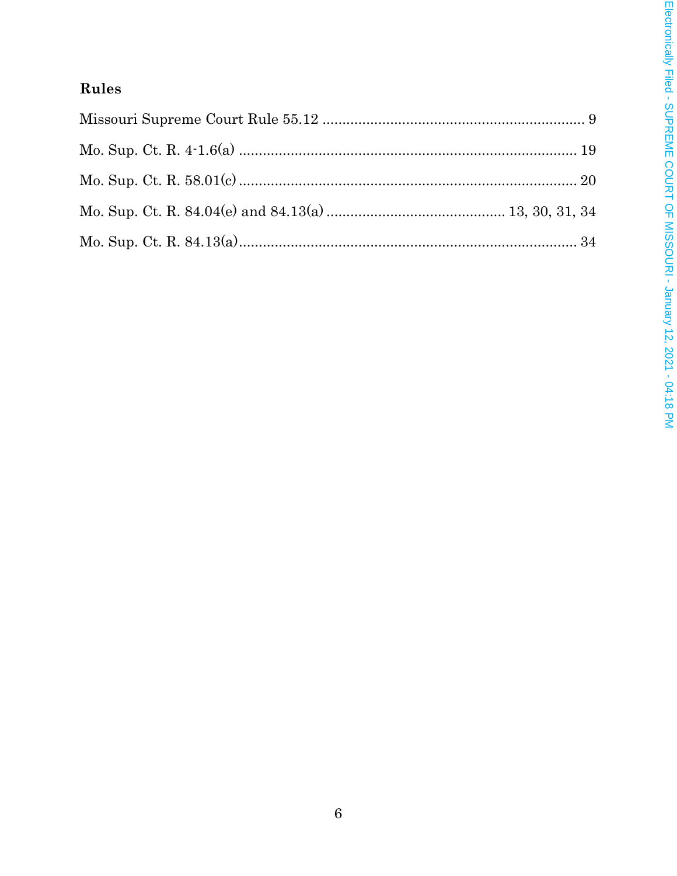# Rules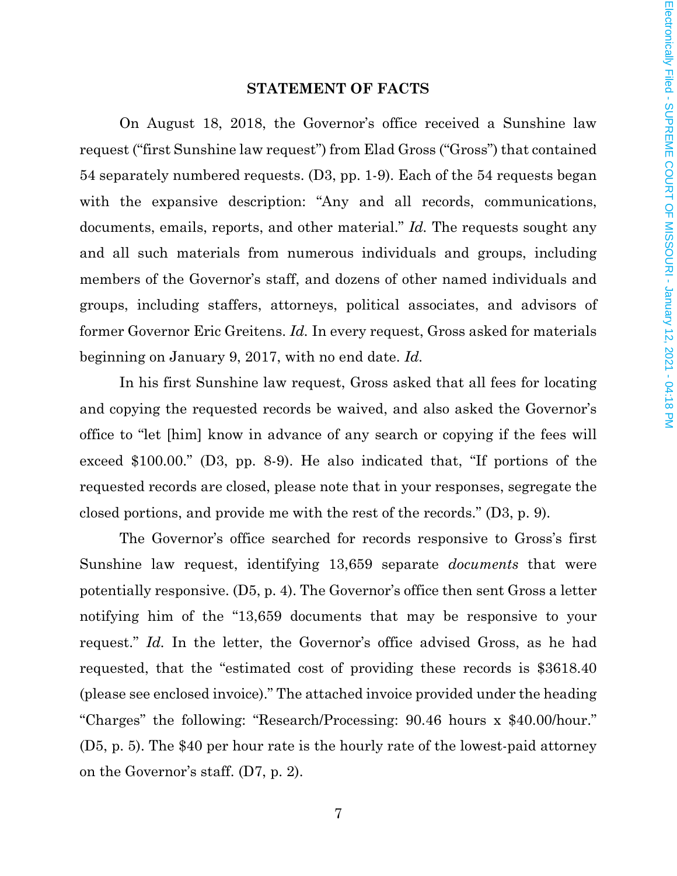#### **STATEMENT OF FACTS**

On August 18, 2018, the Governor's office received a Sunshine law request ("first Sunshine law request") from Elad Gross ("Gross") that contained 54 separately numbered requests. (D3, pp. 1-9). Each of the 54 requests began with the expansive description: "Any and all records, communications, documents, emails, reports, and other material." *Id.* The requests sought any and all such materials from numerous individuals and groups, including members of the Governor's staff, and dozens of other named individuals and groups, including staffers, attorneys, political associates, and advisors of former Governor Eric Greitens. *Id.* In every request, Gross asked for materials beginning on January 9, 2017, with no end date. *Id.*

In his first Sunshine law request, Gross asked that all fees for locating and copying the requested records be waived, and also asked the Governor's office to "let [him] know in advance of any search or copying if the fees will exceed \$100.00." (D3, pp. 8-9). He also indicated that, "If portions of the requested records are closed, please note that in your responses, segregate the closed portions, and provide me with the rest of the records." (D3, p. 9).

The Governor's office searched for records responsive to Gross's first Sunshine law request, identifying 13,659 separate *documents* that were potentially responsive. (D5, p. 4). The Governor's office then sent Gross a letter notifying him of the "13,659 documents that may be responsive to your request." *Id.* In the letter, the Governor's office advised Gross, as he had requested, that the "estimated cost of providing these records is \$3618.40 (please see enclosed invoice)." The attached invoice provided under the heading "Charges" the following: "Research/Processing: 90.46 hours x \$40.00/hour." (D5, p. 5). The \$40 per hour rate is the hourly rate of the lowest-paid attorney on the Governor's staff. (D7, p. 2).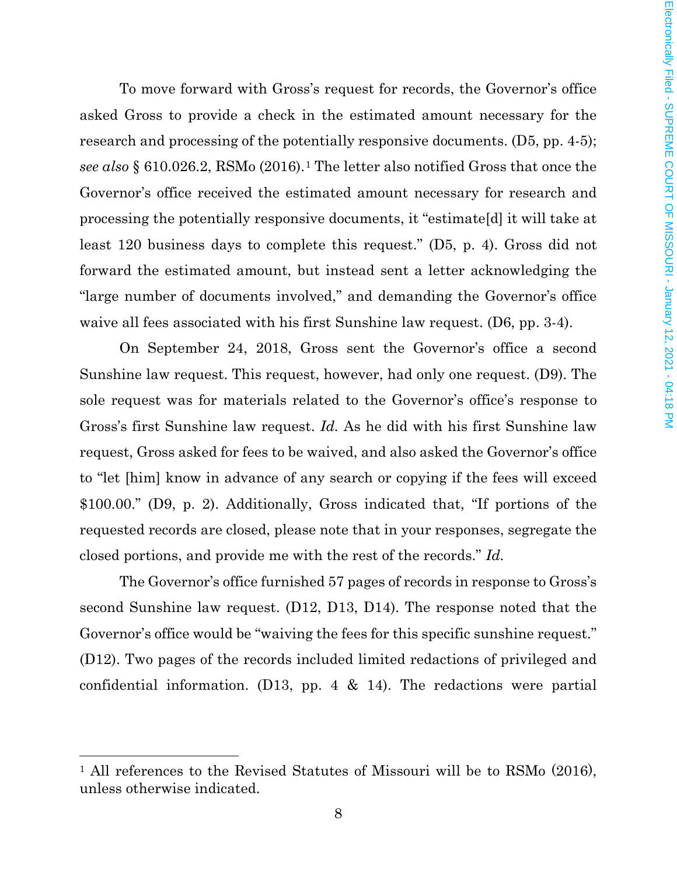To move forward with Gross's request for records, the Governor's office asked Gross to provide a check in the estimated amount necessary for the research and processing of the potentially responsive documents. (D5, pp. 4-5); *see also* § 610.026.2, RSMo (2016).[1](#page-7-0) The letter also notified Gross that once the Governor's office received the estimated amount necessary for research and processing the potentially responsive documents, it "estimate[d] it will take at least 120 business days to complete this request." (D5, p. 4). Gross did not forward the estimated amount, but instead sent a letter acknowledging the "large number of documents involved," and demanding the Governor's office waive all fees associated with his first Sunshine law request. (D6, pp. 3-4).

On September 24, 2018, Gross sent the Governor's office a second Sunshine law request. This request, however, had only one request. (D9). The sole request was for materials related to the Governor's office's response to Gross's first Sunshine law request. *Id.* As he did with his first Sunshine law request, Gross asked for fees to be waived, and also asked the Governor's office to "let [him] know in advance of any search or copying if the fees will exceed \$100.00." (D9, p. 2). Additionally, Gross indicated that, "If portions of the requested records are closed, please note that in your responses, segregate the closed portions, and provide me with the rest of the records." *Id.*

The Governor's office furnished 57 pages of records in response to Gross's second Sunshine law request. (D12, D13, D14). The response noted that the Governor's office would be "waiving the fees for this specific sunshine request." (D12). Two pages of the records included limited redactions of privileged and confidential information. (D13, pp. 4 & 14). The redactions were partial

 $\overline{\phantom{a}}$ 

<span id="page-7-0"></span><sup>&</sup>lt;sup>1</sup> All references to the Revised Statutes of Missouri will be to RSMo (2016), unless otherwise indicated.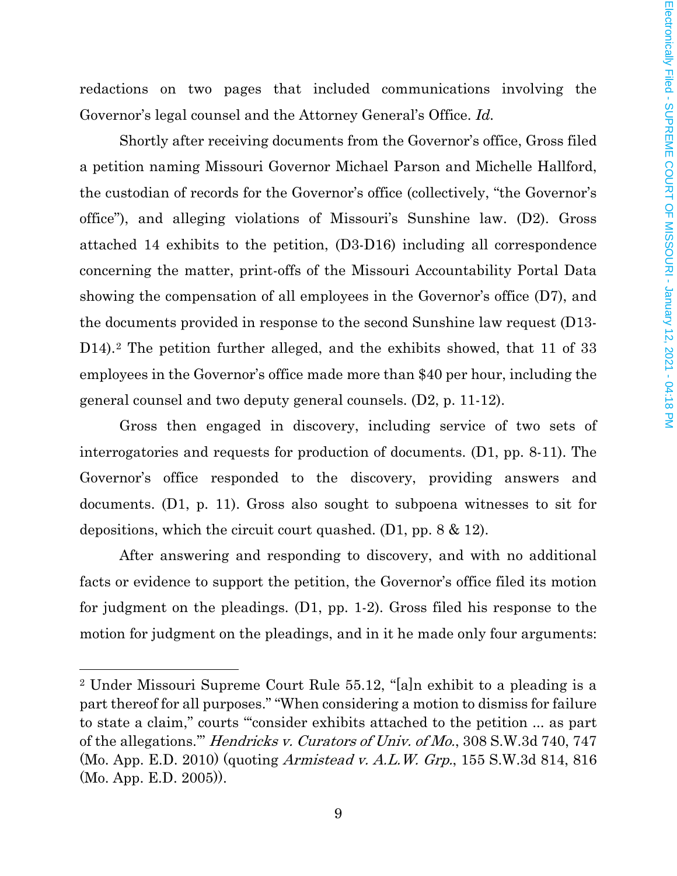redactions on two pages that included communications involving the Governor's legal counsel and the Attorney General's Office. *Id.*

Shortly after receiving documents from the Governor's office, Gross filed a petition naming Missouri Governor Michael Parson and Michelle Hallford, the custodian of records for the Governor's office (collectively, "the Governor's office"), and alleging violations of Missouri's Sunshine law. (D2). Gross attached 14 exhibits to the petition, (D3-D16) including all correspondence concerning the matter, print-offs of the Missouri Accountability Portal Data showing the compensation of all employees in the Governor's office (D7), and the documents provided in response to the second Sunshine law request (D13- D14).<sup>[2](#page-8-0)</sup> The petition further alleged, and the exhibits showed, that 11 of 33 employees in the Governor's office made more than \$40 per hour, including the general counsel and two deputy general counsels. (D2, p. 11-12).

Gross then engaged in discovery, including service of two sets of interrogatories and requests for production of documents. (D1, pp. 8-11). The Governor's office responded to the discovery, providing answers and documents. (D1, p. 11). Gross also sought to subpoena witnesses to sit for depositions, which the circuit court quashed. (D1, pp. 8 & 12).

After answering and responding to discovery, and with no additional facts or evidence to support the petition, the Governor's office filed its motion for judgment on the pleadings. (D1, pp. 1-2). Gross filed his response to the motion for judgment on the pleadings, and in it he made only four arguments:

 $\overline{\phantom{a}}$ 

<span id="page-8-0"></span><sup>2</sup> Under Missouri Supreme Court Rule 55.12, "[a]n exhibit to a pleading is a part thereof for all purposes." "When considering a motion to dismiss for failure to state a claim," courts "'consider exhibits attached to the petition ... as part of the allegations.'" Hendricks v. Curators of Univ. of Mo., 308 S.W.3d 740, 747 (Mo. App. E.D. 2010) (quoting Armistead v. A.L.W. Grp., 155 S.W.3d 814, 816 (Mo. App. E.D. 2005)).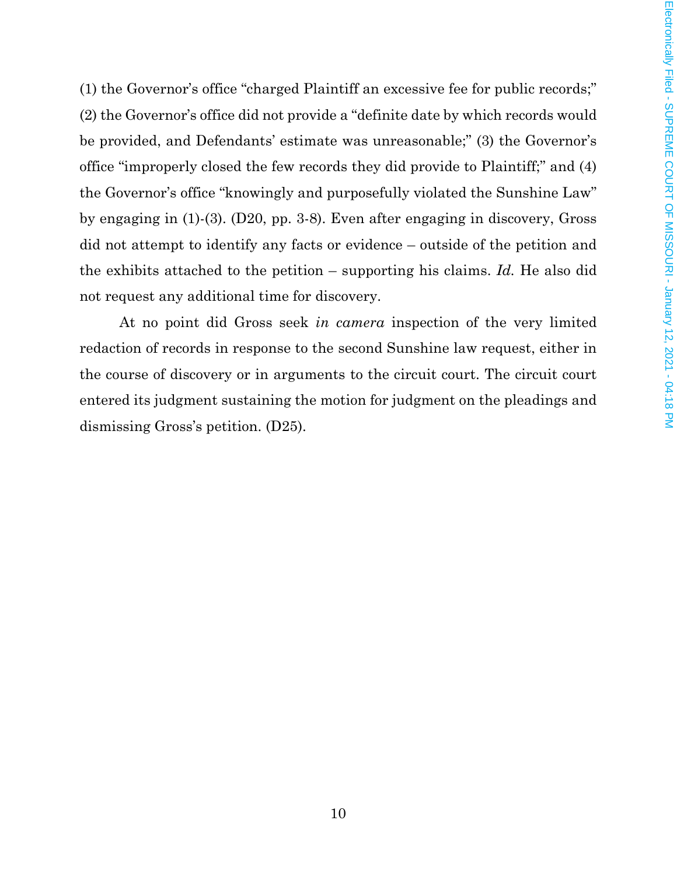(1) the Governor's office "charged Plaintiff an excessive fee for public records;" (2) the Governor's office did not provide a "definite date by which records would be provided, and Defendants' estimate was unreasonable;" (3) the Governor's office "improperly closed the few records they did provide to Plaintiff;" and (4) the Governor's office "knowingly and purposefully violated the Sunshine Law" by engaging in (1)-(3). (D20, pp. 3-8). Even after engaging in discovery, Gross did not attempt to identify any facts or evidence – outside of the petition and the exhibits attached to the petition – supporting his claims. *Id.* He also did not request any additional time for discovery.

At no point did Gross seek *in camera* inspection of the very limited redaction of records in response to the second Sunshine law request, either in the course of discovery or in arguments to the circuit court. The circuit court entered its judgment sustaining the motion for judgment on the pleadings and dismissing Gross's petition. (D25).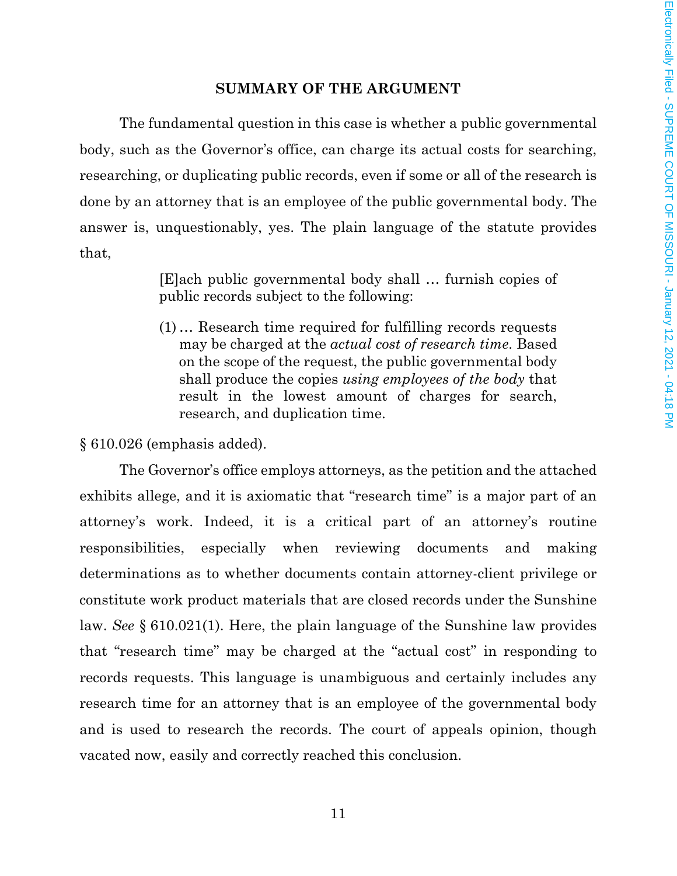#### **SUMMARY OF THE ARGUMENT**

The fundamental question in this case is whether a public governmental body, such as the Governor's office, can charge its actual costs for searching, researching, or duplicating public records, even if some or all of the research is done by an attorney that is an employee of the public governmental body. The answer is, unquestionably, yes. The plain language of the statute provides that,

> [E]ach public governmental body shall … furnish copies of public records subject to the following:

> (1) … Research time required for fulfilling records requests may be charged at the *actual cost of research time*. Based on the scope of the request, the public governmental body shall produce the copies *using employees of the body* that result in the lowest amount of charges for search, research, and duplication time.

§ 610.026 (emphasis added).

The Governor's office employs attorneys, as the petition and the attached exhibits allege, and it is axiomatic that "research time" is a major part of an attorney's work. Indeed, it is a critical part of an attorney's routine responsibilities, especially when reviewing documents and making determinations as to whether documents contain attorney-client privilege or constitute work product materials that are closed records under the Sunshine law. *See* § 610.021(1). Here, the plain language of the Sunshine law provides that "research time" may be charged at the "actual cost" in responding to records requests. This language is unambiguous and certainly includes any research time for an attorney that is an employee of the governmental body and is used to research the records. The court of appeals opinion, though vacated now, easily and correctly reached this conclusion.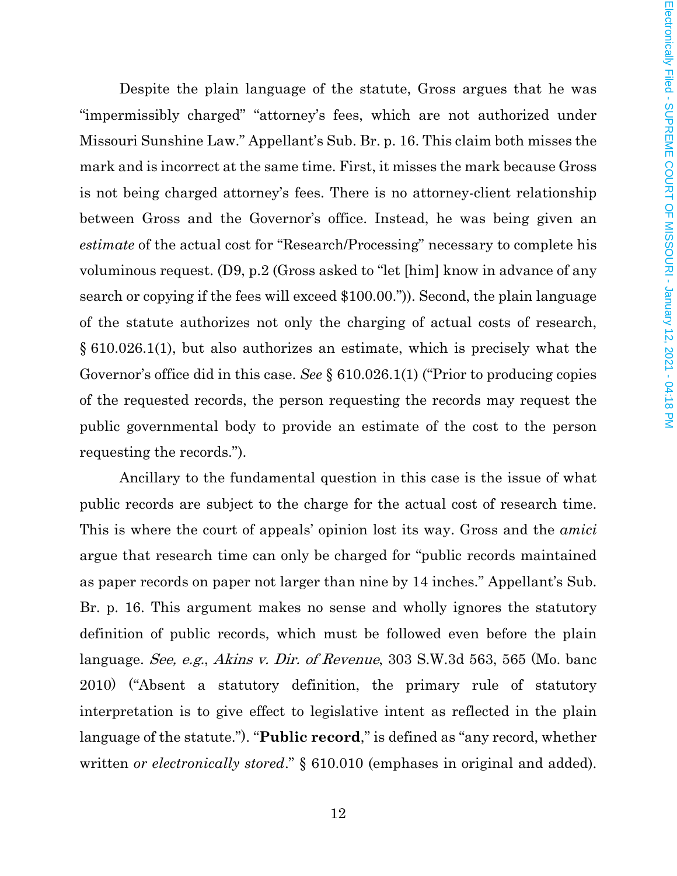Despite the plain language of the statute, Gross argues that he was "impermissibly charged" "attorney's fees, which are not authorized under Missouri Sunshine Law." Appellant's Sub. Br. p. 16. This claim both misses the mark and is incorrect at the same time. First, it misses the mark because Gross is not being charged attorney's fees. There is no attorney-client relationship between Gross and the Governor's office. Instead, he was being given an *estimate* of the actual cost for "Research/Processing" necessary to complete his voluminous request. (D9, p.2 (Gross asked to "let [him] know in advance of any search or copying if the fees will exceed \$100.00.")). Second, the plain language of the statute authorizes not only the charging of actual costs of research, § 610.026.1(1), but also authorizes an estimate, which is precisely what the Governor's office did in this case. *See* § 610.026.1(1) ("Prior to producing copies of the requested records, the person requesting the records may request the public governmental body to provide an estimate of the cost to the person requesting the records.").

Ancillary to the fundamental question in this case is the issue of what public records are subject to the charge for the actual cost of research time. This is where the court of appeals' opinion lost its way. Gross and the *amici* argue that research time can only be charged for "public records maintained as paper records on paper not larger than nine by 14 inches." Appellant's Sub. Br. p. 16. This argument makes no sense and wholly ignores the statutory definition of public records, which must be followed even before the plain language. See, e.g., Akins v. Dir. of Revenue, 303 S.W.3d 563, 565 (Mo. banc 2010) ("Absent a statutory definition, the primary rule of statutory interpretation is to give effect to legislative intent as reflected in the plain language of the statute."). "**Public record**," is defined as "any record, whether written *or electronically stored*." § 610.010 (emphases in original and added).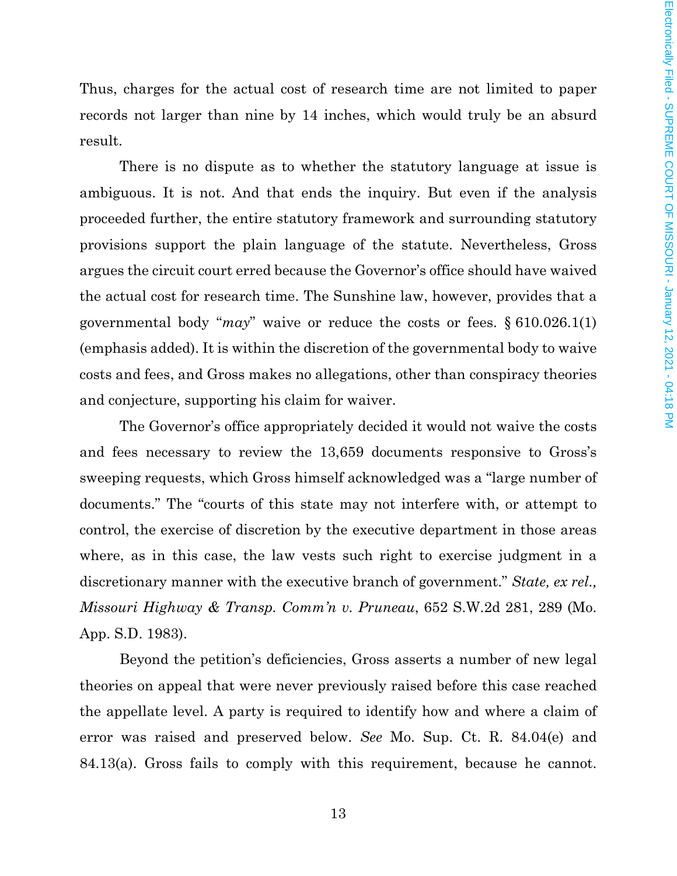Thus, charges for the actual cost of research time are not limited to paper records not larger than nine by 14 inches, which would truly be an absurd result.

There is no dispute as to whether the statutory language at issue is ambiguous. It is not. And that ends the inquiry. But even if the analysis proceeded further, the entire statutory framework and surrounding statutory provisions support the plain language of the statute. Nevertheless, Gross argues the circuit court erred because the Governor's office should have waived the actual cost for research time. The Sunshine law, however, provides that a governmental body "*may*" waive or reduce the costs or fees. § 610.026.1(1) (emphasis added). It is within the discretion of the governmental body to waive costs and fees, and Gross makes no allegations, other than conspiracy theories and conjecture, supporting his claim for waiver.

The Governor's office appropriately decided it would not waive the costs and fees necessary to review the 13,659 documents responsive to Gross's sweeping requests, which Gross himself acknowledged was a "large number of documents." The "courts of this state may not interfere with, or attempt to control, the exercise of discretion by the executive department in those areas where, as in this case, the law vests such right to exercise judgment in a discretionary manner with the executive branch of government." *State, ex rel., Missouri Highway & Transp. Comm'n v. Pruneau*, 652 S.W.2d 281, 289 (Mo. App. S.D. 1983).

Beyond the petition's deficiencies, Gross asserts a number of new legal theories on appeal that were never previously raised before this case reached the appellate level. A party is required to identify how and where a claim of error was raised and preserved below. *See* Mo. Sup. Ct. R. 84.04(e) and 84.13(a). Gross fails to comply with this requirement, because he cannot.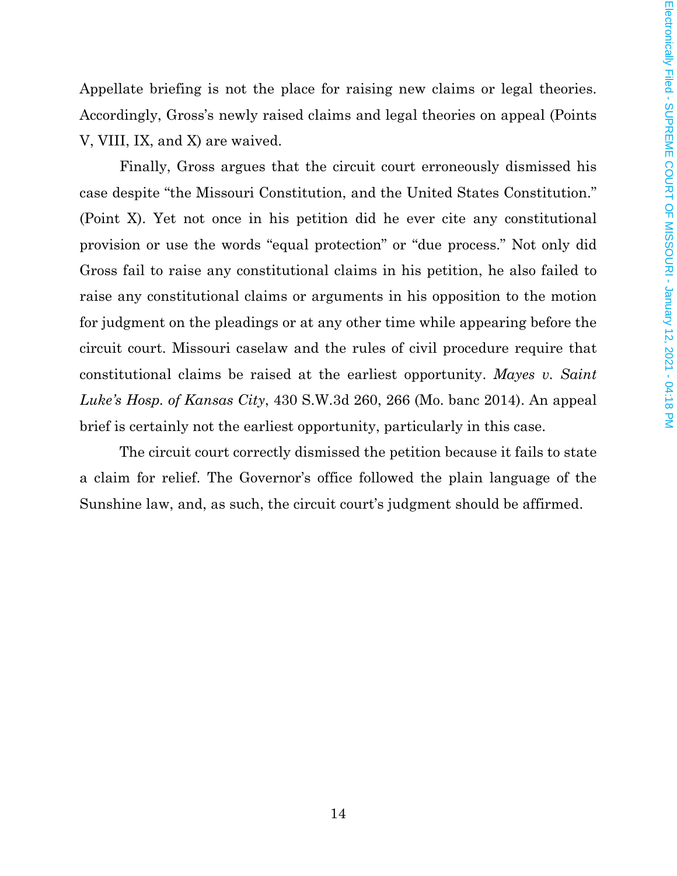Appellate briefing is not the place for raising new claims or legal theories. Accordingly, Gross's newly raised claims and legal theories on appeal (Points V, VIII, IX, and X) are waived.

Finally, Gross argues that the circuit court erroneously dismissed his case despite "the Missouri Constitution, and the United States Constitution." (Point X). Yet not once in his petition did he ever cite any constitutional provision or use the words "equal protection" or "due process." Not only did Gross fail to raise any constitutional claims in his petition, he also failed to raise any constitutional claims or arguments in his opposition to the motion for judgment on the pleadings or at any other time while appearing before the circuit court. Missouri caselaw and the rules of civil procedure require that constitutional claims be raised at the earliest opportunity. *Mayes v. Saint Luke's Hosp. of Kansas City*, 430 S.W.3d 260, 266 (Mo. banc 2014). An appeal brief is certainly not the earliest opportunity, particularly in this case.

The circuit court correctly dismissed the petition because it fails to state a claim for relief. The Governor's office followed the plain language of the Sunshine law, and, as such, the circuit court's judgment should be affirmed.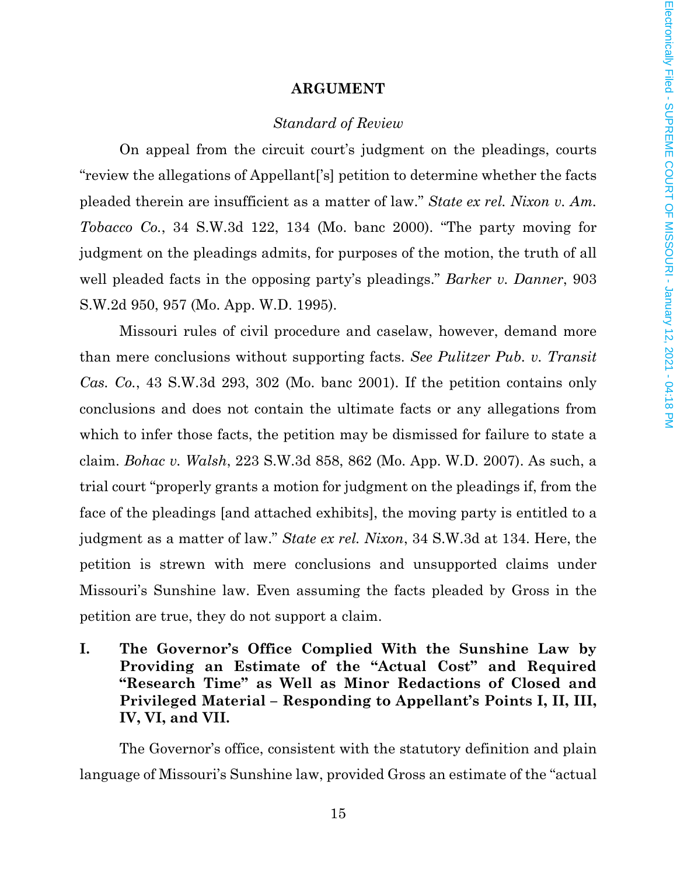#### **ARGUMENT**

#### *Standard of Review*

On appeal from the circuit court's judgment on the pleadings, courts "review the allegations of Appellant['s] petition to determine whether the facts pleaded therein are insufficient as a matter of law." *State ex rel. Nixon v. Am. Tobacco Co.*, 34 S.W.3d 122, 134 (Mo. banc 2000). "The party moving for judgment on the pleadings admits, for purposes of the motion, the truth of all well pleaded facts in the opposing party's pleadings." *Barker v. Danner*, 903 S.W.2d 950, 957 (Mo. App. W.D. 1995).

Missouri rules of civil procedure and caselaw, however, demand more than mere conclusions without supporting facts. *See Pulitzer Pub. v. Transit Cas. Co.*, 43 S.W.3d 293, 302 (Mo. banc 2001). If the petition contains only conclusions and does not contain the ultimate facts or any allegations from which to infer those facts, the petition may be dismissed for failure to state a claim. *Bohac v. Walsh*, 223 S.W.3d 858, 862 (Mo. App. W.D. 2007). As such, a trial court "properly grants a motion for judgment on the pleadings if, from the face of the pleadings [and attached exhibits], the moving party is entitled to a judgment as a matter of law." *State ex rel. Nixon*, 34 S.W.3d at 134. Here, the petition is strewn with mere conclusions and unsupported claims under Missouri's Sunshine law. Even assuming the facts pleaded by Gross in the petition are true, they do not support a claim.

**I. The Governor's Office Complied With the Sunshine Law by Providing an Estimate of the "Actual Cost" and Required "Research Time" as Well as Minor Redactions of Closed and Privileged Material – Responding to Appellant's Points I, II, III, IV, VI, and VII.** 

The Governor's office, consistent with the statutory definition and plain language of Missouri's Sunshine law, provided Gross an estimate of the "actual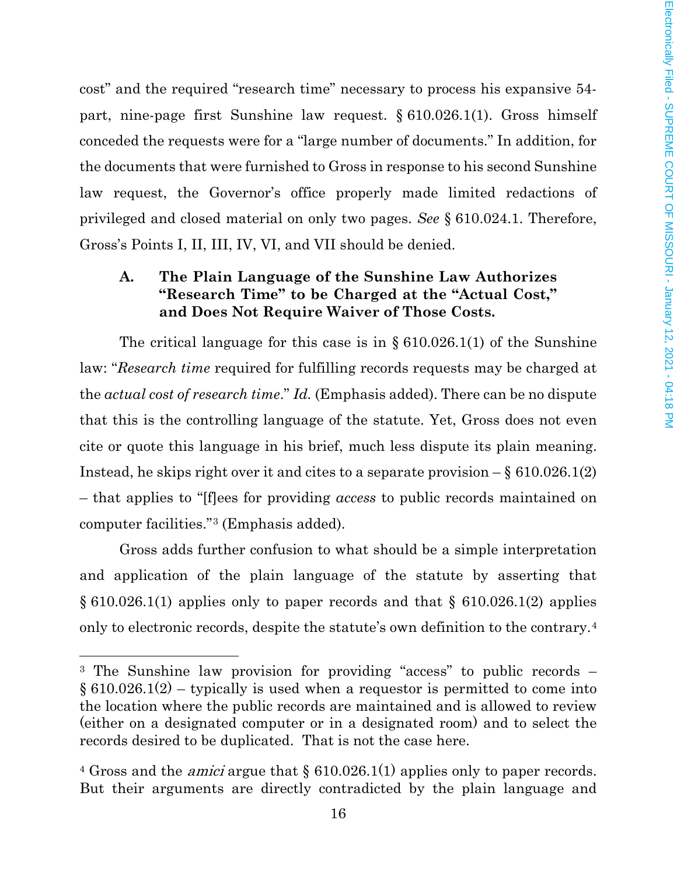cost" and the required "research time" necessary to process his expansive 54 part, nine-page first Sunshine law request. § 610.026.1(1). Gross himself conceded the requests were for a "large number of documents." In addition, for the documents that were furnished to Gross in response to his second Sunshine law request, the Governor's office properly made limited redactions of privileged and closed material on only two pages. *See* § 610.024.1. Therefore, Gross's Points I, II, III, IV, VI, and VII should be denied.

# **A. The Plain Language of the Sunshine Law Authorizes "Research Time" to be Charged at the "Actual Cost," and Does Not Require Waiver of Those Costs.**

The critical language for this case is in § 610.026.1(1) of the Sunshine law: "*Research time* required for fulfilling records requests may be charged at the *actual cost of research time*." *Id.* (Emphasis added). There can be no dispute that this is the controlling language of the statute. Yet, Gross does not even cite or quote this language in his brief, much less dispute its plain meaning. Instead, he skips right over it and cites to a separate provision  $-\S 610.026.1(2)$ – that applies to "[f]ees for providing *access* to public records maintained on computer facilities."[3](#page-15-0) (Emphasis added).

Gross adds further confusion to what should be a simple interpretation and application of the plain language of the statute by asserting that § 610.026.1(1) applies only to paper records and that § 610.026.1(2) applies only to electronic records, despite the statute's own definition to the contrary.[4](#page-15-1)

l

<span id="page-15-0"></span><sup>3</sup> The Sunshine law provision for providing "access" to public records –  $\S 610.026.1(2)$  – typically is used when a requestor is permitted to come into the location where the public records are maintained and is allowed to review (either on a designated computer or in a designated room) and to select the records desired to be duplicated. That is not the case here.

<span id="page-15-1"></span><sup>&</sup>lt;sup>4</sup> Gross and the *amici* argue that  $\S 610.026.1(1)$  applies only to paper records. But their arguments are directly contradicted by the plain language and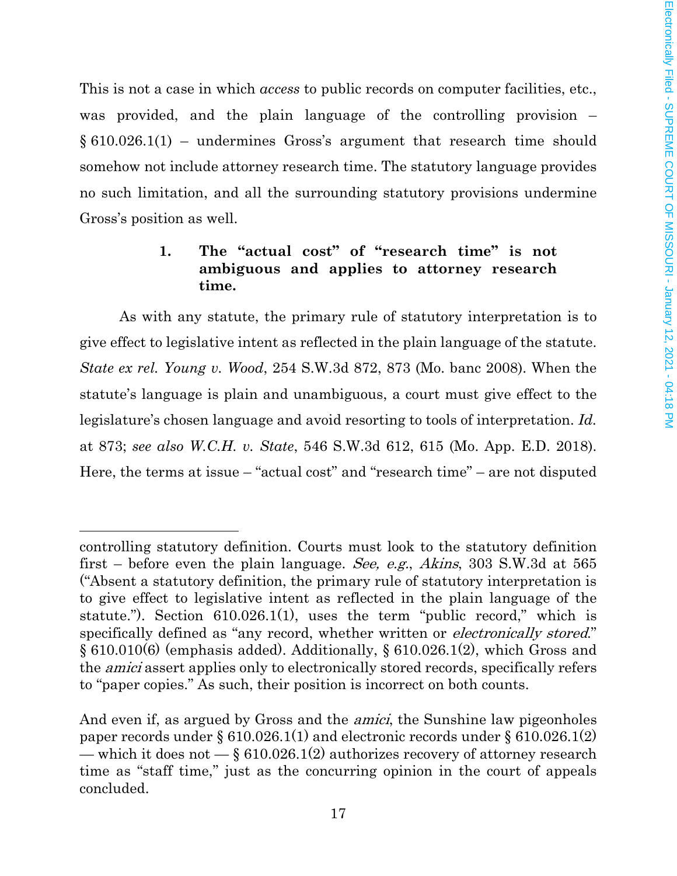This is not a case in which *access* to public records on computer facilities, etc., was provided, and the plain language of the controlling provision –  $\S 610.026.1(1)$  – undermines Gross's argument that research time should somehow not include attorney research time. The statutory language provides no such limitation, and all the surrounding statutory provisions undermine Gross's position as well.

# **1. The "actual cost" of "research time" is not ambiguous and applies to attorney research time.**

As with any statute, the primary rule of statutory interpretation is to give effect to legislative intent as reflected in the plain language of the statute. *State ex rel. Young v. Wood*, 254 S.W.3d 872, 873 (Mo. banc 2008). When the statute's language is plain and unambiguous, a court must give effect to the legislature's chosen language and avoid resorting to tools of interpretation. *Id.* at 873; *see also W.C.H. v. State*, 546 S.W.3d 612, 615 (Mo. App. E.D. 2018). Here, the terms at issue – "actual cost" and "research time" – are not disputed

 $\overline{a}$ 

controlling statutory definition. Courts must look to the statutory definition first – before even the plain language. See, e.g., Akins, 303 S.W.3d at 565 ("Absent a statutory definition, the primary rule of statutory interpretation is to give effect to legislative intent as reflected in the plain language of the statute."). Section 610.026.1(1), uses the term "public record," which is specifically defined as "any record, whether written or *electronically stored.*" § 610.010(6) (emphasis added). Additionally, § 610.026.1(2), which Gross and the amici assert applies only to electronically stored records, specifically refers to "paper copies." As such, their position is incorrect on both counts.

And even if, as argued by Gross and the *amici*, the Sunshine law pigeonholes paper records under § 610.026.1(1) and electronic records under § 610.026.1(2) — which it does not  $-\xi$  610.026.1(2) authorizes recovery of attorney research time as "staff time," just as the concurring opinion in the court of appeals concluded.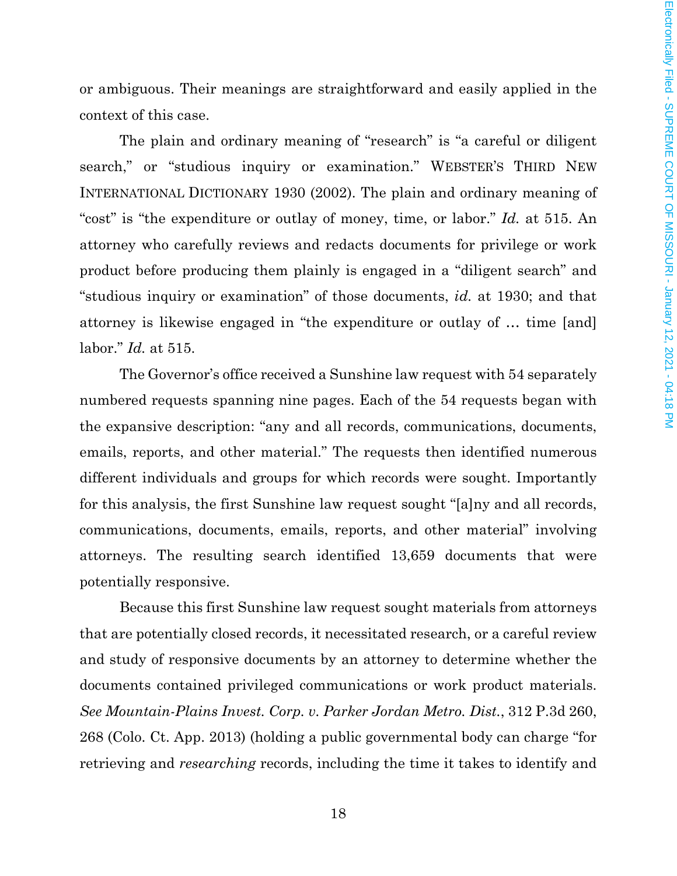or ambiguous. Their meanings are straightforward and easily applied in the context of this case.

The plain and ordinary meaning of "research" is "a careful or diligent search," or "studious inquiry or examination." WEBSTER'S THIRD NEW INTERNATIONAL DICTIONARY 1930 (2002). The plain and ordinary meaning of "cost" is "the expenditure or outlay of money, time, or labor." *Id.* at 515. An attorney who carefully reviews and redacts documents for privilege or work product before producing them plainly is engaged in a "diligent search" and "studious inquiry or examination" of those documents, *id.* at 1930; and that attorney is likewise engaged in "the expenditure or outlay of … time [and] labor." *Id.* at 515.

The Governor's office received a Sunshine law request with 54 separately numbered requests spanning nine pages. Each of the 54 requests began with the expansive description: "any and all records, communications, documents, emails, reports, and other material." The requests then identified numerous different individuals and groups for which records were sought. Importantly for this analysis, the first Sunshine law request sought "[a]ny and all records, communications, documents, emails, reports, and other material" involving attorneys. The resulting search identified 13,659 documents that were potentially responsive.

Because this first Sunshine law request sought materials from attorneys that are potentially closed records, it necessitated research, or a careful review and study of responsive documents by an attorney to determine whether the documents contained privileged communications or work product materials. *See Mountain-Plains Invest. Corp. v. Parker Jordan Metro. Dist.*, 312 P.3d 260, 268 (Colo. Ct. App. 2013) (holding a public governmental body can charge "for retrieving and *researching* records, including the time it takes to identify and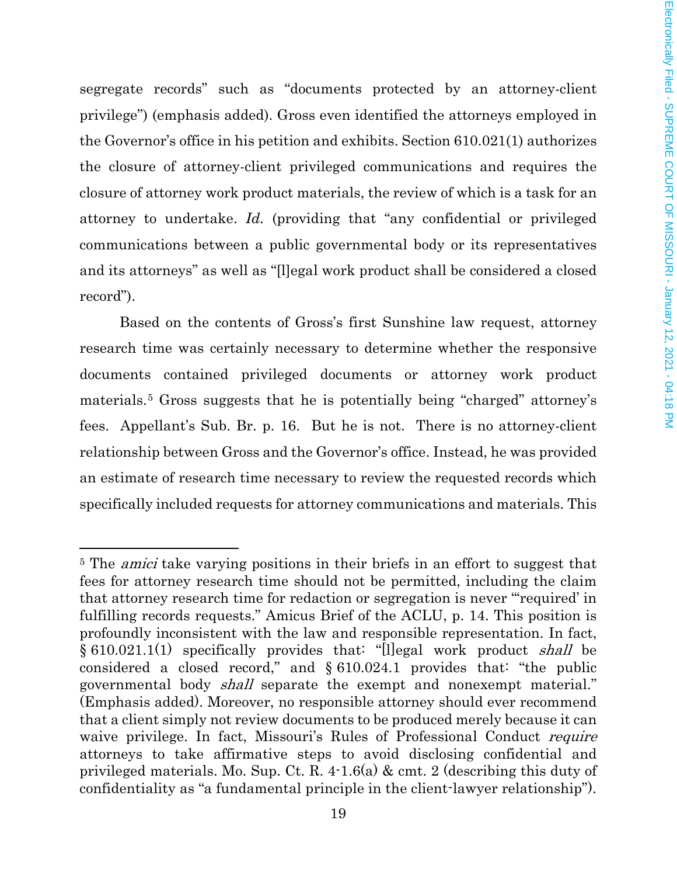segregate records" such as "documents protected by an attorney-client privilege") (emphasis added). Gross even identified the attorneys employed in the Governor's office in his petition and exhibits. Section 610.021(1) authorizes the closure of attorney-client privileged communications and requires the closure of attorney work product materials, the review of which is a task for an attorney to undertake. *Id.* (providing that "any confidential or privileged communications between a public governmental body or its representatives and its attorneys" as well as "[l]egal work product shall be considered a closed record").

Based on the contents of Gross's first Sunshine law request, attorney research time was certainly necessary to determine whether the responsive documents contained privileged documents or attorney work product materials.[5](#page-18-0) Gross suggests that he is potentially being "charged" attorney's fees. Appellant's Sub. Br. p. 16. But he is not. There is no attorney-client relationship between Gross and the Governor's office. Instead, he was provided an estimate of research time necessary to review the requested records which specifically included requests for attorney communications and materials. This

 $\overline{\phantom{a}}$ 

<span id="page-18-0"></span><sup>&</sup>lt;sup>5</sup> The *amici* take varying positions in their briefs in an effort to suggest that fees for attorney research time should not be permitted, including the claim that attorney research time for redaction or segregation is never "'required' in fulfilling records requests." Amicus Brief of the ACLU, p. 14. This position is profoundly inconsistent with the law and responsible representation. In fact, § 610.021.1(1) specifically provides that: "[l]egal work product shall be considered a closed record," and § 610.024.1 provides that: "the public governmental body *shall* separate the exempt and nonexempt material." (Emphasis added). Moreover, no responsible attorney should ever recommend that a client simply not review documents to be produced merely because it can waive privilege. In fact, Missouri's Rules of Professional Conduct *require* attorneys to take affirmative steps to avoid disclosing confidential and privileged materials. Mo. Sup. Ct. R. 4-1.6(a) & cmt. 2 (describing this duty of confidentiality as "a fundamental principle in the client-lawyer relationship").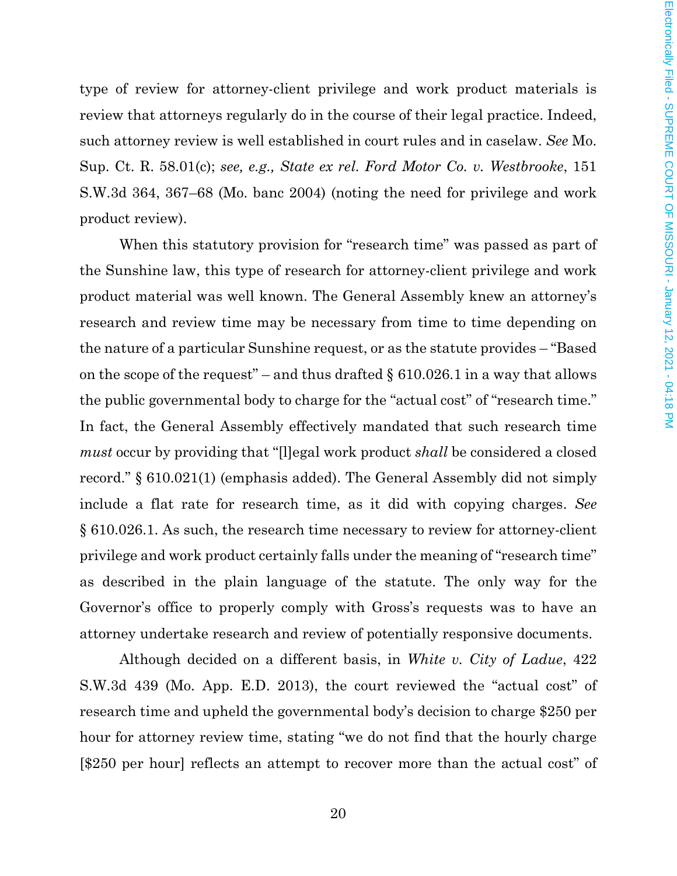type of review for attorney-client privilege and work product materials is review that attorneys regularly do in the course of their legal practice. Indeed, such attorney review is well established in court rules and in caselaw. *See* Mo. Sup. Ct. R. 58.01(c); *see, e.g., State ex rel. Ford Motor Co. v. Westbrooke*, 151 S.W.3d 364, 367–68 (Mo. banc 2004) (noting the need for privilege and work product review).

When this statutory provision for "research time" was passed as part of the Sunshine law, this type of research for attorney-client privilege and work product material was well known. The General Assembly knew an attorney's research and review time may be necessary from time to time depending on the nature of a particular Sunshine request, or as the statute provides – "Based on the scope of the request" – and thus drafted  $\S$  610.026.1 in a way that allows the public governmental body to charge for the "actual cost" of "research time." In fact, the General Assembly effectively mandated that such research time *must* occur by providing that "[l]egal work product *shall* be considered a closed record." § 610.021(1) (emphasis added). The General Assembly did not simply include a flat rate for research time, as it did with copying charges. *See* § 610.026.1. As such, the research time necessary to review for attorney-client privilege and work product certainly falls under the meaning of "research time" as described in the plain language of the statute. The only way for the Governor's office to properly comply with Gross's requests was to have an attorney undertake research and review of potentially responsive documents.

Although decided on a different basis, in *White v. City of Ladue*, 422 S.W.3d 439 (Mo. App. E.D. 2013), the court reviewed the "actual cost" of research time and upheld the governmental body's decision to charge \$250 per hour for attorney review time, stating "we do not find that the hourly charge [\$250 per hour] reflects an attempt to recover more than the actual cost" of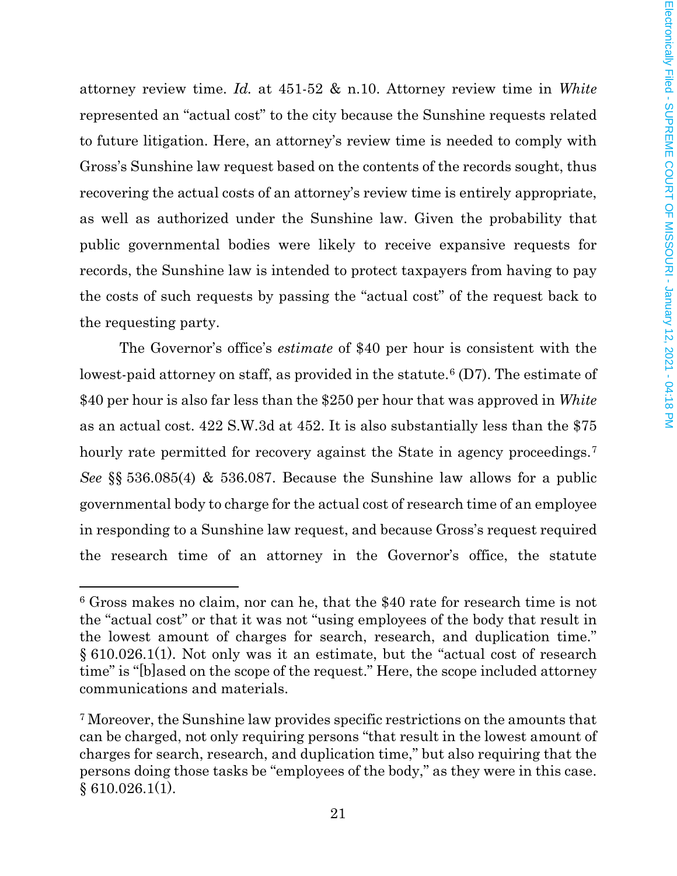attorney review time. *Id.* at 451-52 & n.10. Attorney review time in *White*  represented an "actual cost" to the city because the Sunshine requests related to future litigation. Here, an attorney's review time is needed to comply with Gross's Sunshine law request based on the contents of the records sought, thus recovering the actual costs of an attorney's review time is entirely appropriate, as well as authorized under the Sunshine law. Given the probability that public governmental bodies were likely to receive expansive requests for records, the Sunshine law is intended to protect taxpayers from having to pay the costs of such requests by passing the "actual cost" of the request back to the requesting party.

The Governor's office's *estimate* of \$40 per hour is consistent with the lowest-paid attorney on staff, as provided in the statute.<sup>[6](#page-20-0)</sup> (D7). The estimate of \$40 per hour is also far less than the \$250 per hour that was approved in *White* as an actual cost. 422 S.W.3d at 452. It is also substantially less than the \$75 hourly rate permitted for recovery against the State in agency proceedings.<sup>[7](#page-20-1)</sup> *See* §§ 536.085(4) & 536.087. Because the Sunshine law allows for a public governmental body to charge for the actual cost of research time of an employee in responding to a Sunshine law request, and because Gross's request required the research time of an attorney in the Governor's office, the statute

l

<span id="page-20-0"></span><sup>6</sup> Gross makes no claim, nor can he, that the \$40 rate for research time is not the "actual cost" or that it was not "using employees of the body that result in the lowest amount of charges for search, research, and duplication time." § 610.026.1(1). Not only was it an estimate, but the "actual cost of research time" is "[b]ased on the scope of the request." Here, the scope included attorney communications and materials.

<span id="page-20-1"></span><sup>7</sup> Moreover, the Sunshine law provides specific restrictions on the amounts that can be charged, not only requiring persons "that result in the lowest amount of charges for search, research, and duplication time," but also requiring that the persons doing those tasks be "employees of the body," as they were in this case.  $§ 610.026.1(1).$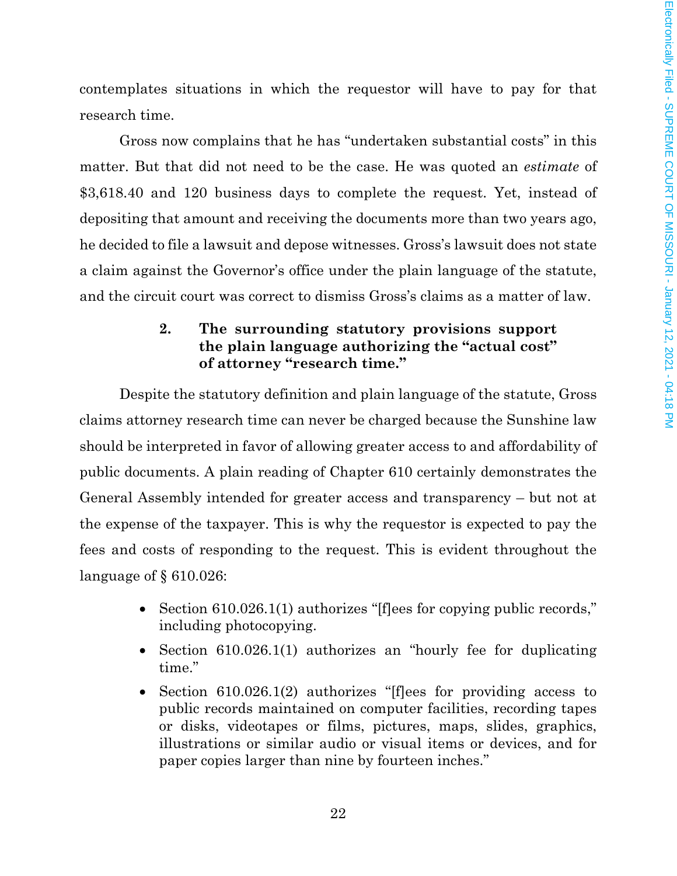contemplates situations in which the requestor will have to pay for that research time.

Gross now complains that he has "undertaken substantial costs" in this matter. But that did not need to be the case. He was quoted an *estimate* of \$3,618.40 and 120 business days to complete the request. Yet, instead of depositing that amount and receiving the documents more than two years ago, he decided to file a lawsuit and depose witnesses. Gross's lawsuit does not state a claim against the Governor's office under the plain language of the statute, and the circuit court was correct to dismiss Gross's claims as a matter of law.

# **2. The surrounding statutory provisions support the plain language authorizing the "actual cost" of attorney "research time."**

Despite the statutory definition and plain language of the statute, Gross claims attorney research time can never be charged because the Sunshine law should be interpreted in favor of allowing greater access to and affordability of public documents. A plain reading of Chapter 610 certainly demonstrates the General Assembly intended for greater access and transparency – but not at the expense of the taxpayer. This is why the requestor is expected to pay the fees and costs of responding to the request. This is evident throughout the language of § 610.026:

- Section 610.026.1(1) authorizes "Iffees for copying public records," including photocopying.
- Section 610.026.1(1) authorizes an "hourly fee for duplicating time."
- Section 610.026.1(2) authorizes "[flees for providing access to public records maintained on computer facilities, recording tapes or disks, videotapes or films, pictures, maps, slides, graphics, illustrations or similar audio or visual items or devices, and for paper copies larger than nine by fourteen inches."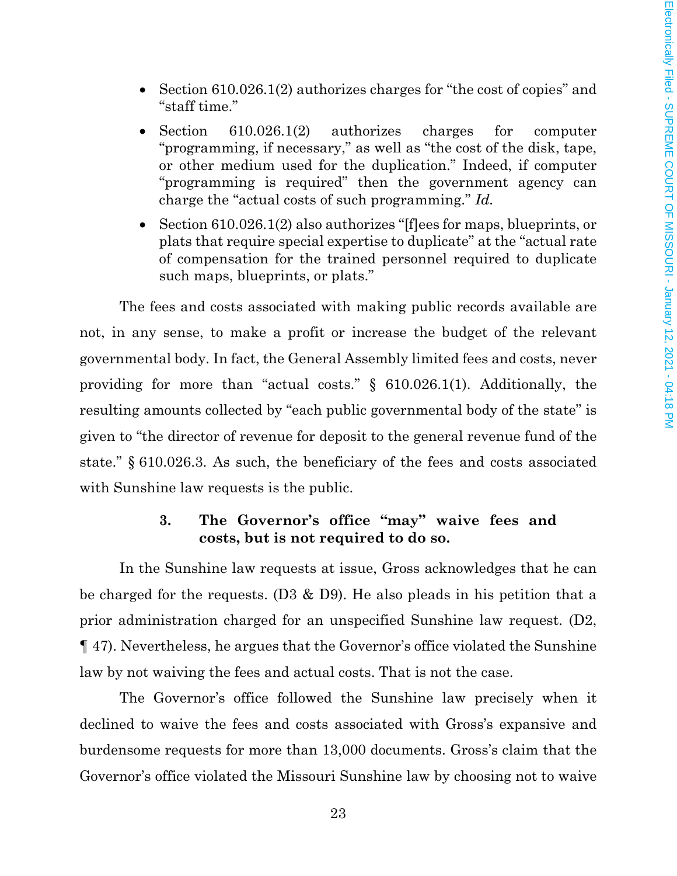- Section 610.026.1(2) authorizes charges for "the cost of copies" and "staff time."
- Section 610.026.1(2) authorizes charges for computer "programming, if necessary," as well as "the cost of the disk, tape, or other medium used for the duplication." Indeed, if computer "programming is required" then the government agency can charge the "actual costs of such programming." *Id.*
- Section 610.026.1(2) also authorizes "[flees for maps, blueprints, or plats that require special expertise to duplicate" at the "actual rate of compensation for the trained personnel required to duplicate such maps, blueprints, or plats."

The fees and costs associated with making public records available are not, in any sense, to make a profit or increase the budget of the relevant governmental body. In fact, the General Assembly limited fees and costs, never providing for more than "actual costs." § 610.026.1(1). Additionally, the resulting amounts collected by "each public governmental body of the state" is given to "the director of revenue for deposit to the general revenue fund of the state." § 610.026.3. As such, the beneficiary of the fees and costs associated with Sunshine law requests is the public.

### **3. The Governor's office "may" waive fees and costs, but is not required to do so.**

In the Sunshine law requests at issue, Gross acknowledges that he can be charged for the requests. (D3 & D9). He also pleads in his petition that a prior administration charged for an unspecified Sunshine law request. (D2, ¶ 47). Nevertheless, he argues that the Governor's office violated the Sunshine law by not waiving the fees and actual costs. That is not the case.

The Governor's office followed the Sunshine law precisely when it declined to waive the fees and costs associated with Gross's expansive and burdensome requests for more than 13,000 documents. Gross's claim that the Governor's office violated the Missouri Sunshine law by choosing not to waive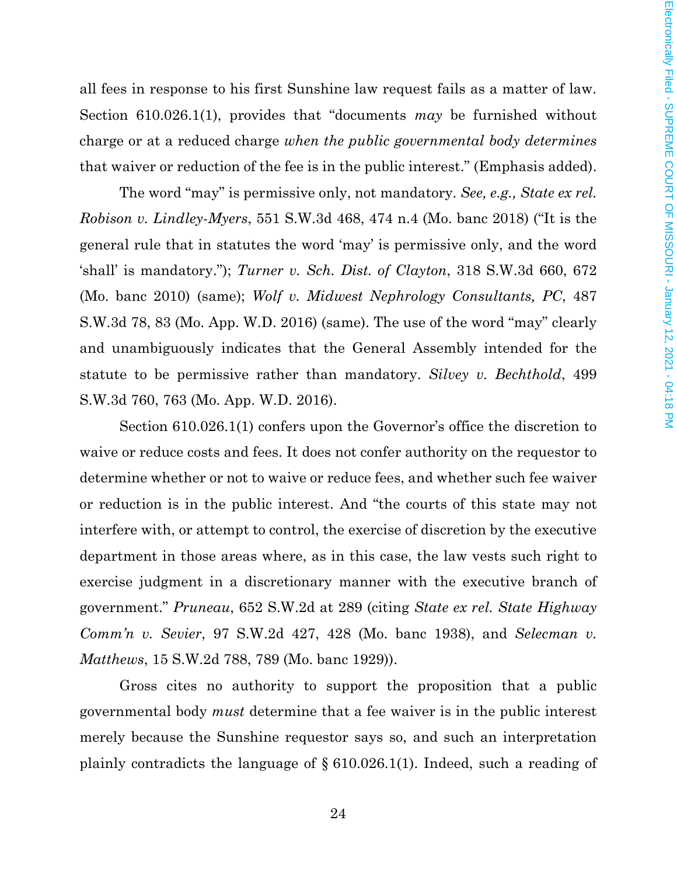all fees in response to his first Sunshine law request fails as a matter of law. Section 610.026.1(1), provides that "documents *may* be furnished without charge or at a reduced charge *when the public governmental body determines* that waiver or reduction of the fee is in the public interest." (Emphasis added).

The word "may" is permissive only, not mandatory. *See, e.g., State ex rel. Robison v. Lindley-Myers*, 551 S.W.3d 468, 474 n.4 (Mo. banc 2018) ("It is the general rule that in statutes the word 'may' is permissive only, and the word 'shall' is mandatory."); *Turner v. Sch. Dist. of Clayton*, 318 S.W.3d 660, 672 (Mo. banc 2010) (same); *Wolf v. Midwest Nephrology Consultants, PC*, 487 S.W.3d 78, 83 (Mo. App. W.D. 2016) (same). The use of the word "may" clearly and unambiguously indicates that the General Assembly intended for the statute to be permissive rather than mandatory. *Silvey v. Bechthold*, 499 S.W.3d 760, 763 (Mo. App. W.D. 2016).

Section 610.026.1(1) confers upon the Governor's office the discretion to waive or reduce costs and fees. It does not confer authority on the requestor to determine whether or not to waive or reduce fees, and whether such fee waiver or reduction is in the public interest. And "the courts of this state may not interfere with, or attempt to control, the exercise of discretion by the executive department in those areas where, as in this case, the law vests such right to exercise judgment in a discretionary manner with the executive branch of government." *Pruneau*, 652 S.W.2d at 289 (citing *State ex rel. State Highway Comm'n v. Sevier*, 97 S.W.2d 427, 428 (Mo. banc 1938), and *Selecman v. Matthews*, 15 S.W.2d 788, 789 (Mo. banc 1929)).

Gross cites no authority to support the proposition that a public governmental body *must* determine that a fee waiver is in the public interest merely because the Sunshine requestor says so, and such an interpretation plainly contradicts the language of § 610.026.1(1). Indeed, such a reading of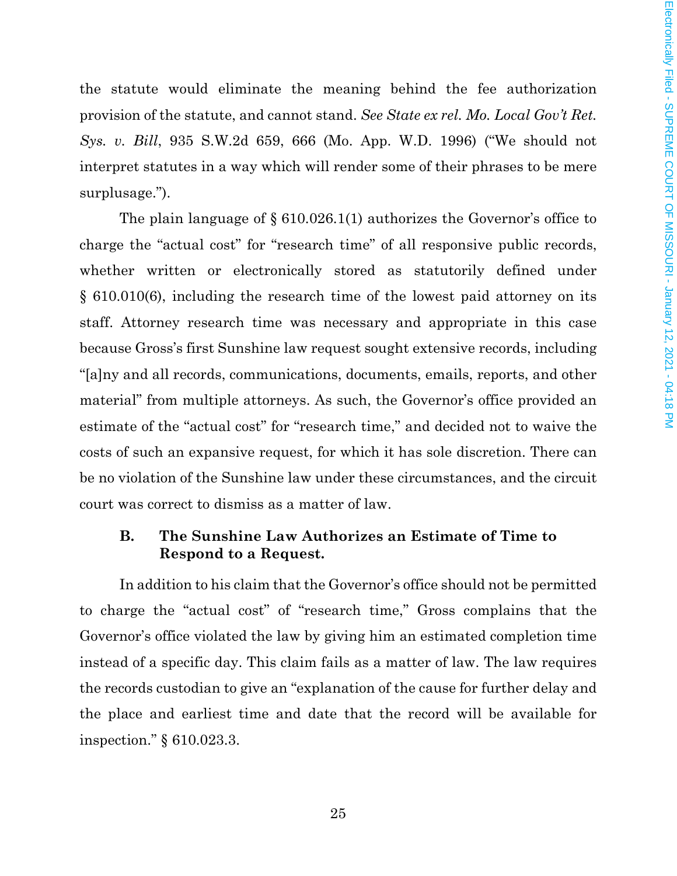the statute would eliminate the meaning behind the fee authorization provision of the statute, and cannot stand. *See State ex rel. Mo. Local Gov't Ret. Sys. v. Bill*, 935 S.W.2d 659, 666 (Mo. App. W.D. 1996) ("We should not interpret statutes in a way which will render some of their phrases to be mere surplusage.").

The plain language of § 610.026.1(1) authorizes the Governor's office to charge the "actual cost" for "research time" of all responsive public records, whether written or electronically stored as statutorily defined under § 610.010(6), including the research time of the lowest paid attorney on its staff. Attorney research time was necessary and appropriate in this case because Gross's first Sunshine law request sought extensive records, including "[a]ny and all records, communications, documents, emails, reports, and other material" from multiple attorneys. As such, the Governor's office provided an estimate of the "actual cost" for "research time," and decided not to waive the costs of such an expansive request, for which it has sole discretion. There can be no violation of the Sunshine law under these circumstances, and the circuit court was correct to dismiss as a matter of law.

### **B. The Sunshine Law Authorizes an Estimate of Time to Respond to a Request.**

In addition to his claim that the Governor's office should not be permitted to charge the "actual cost" of "research time," Gross complains that the Governor's office violated the law by giving him an estimated completion time instead of a specific day. This claim fails as a matter of law. The law requires the records custodian to give an "explanation of the cause for further delay and the place and earliest time and date that the record will be available for inspection." § 610.023.3.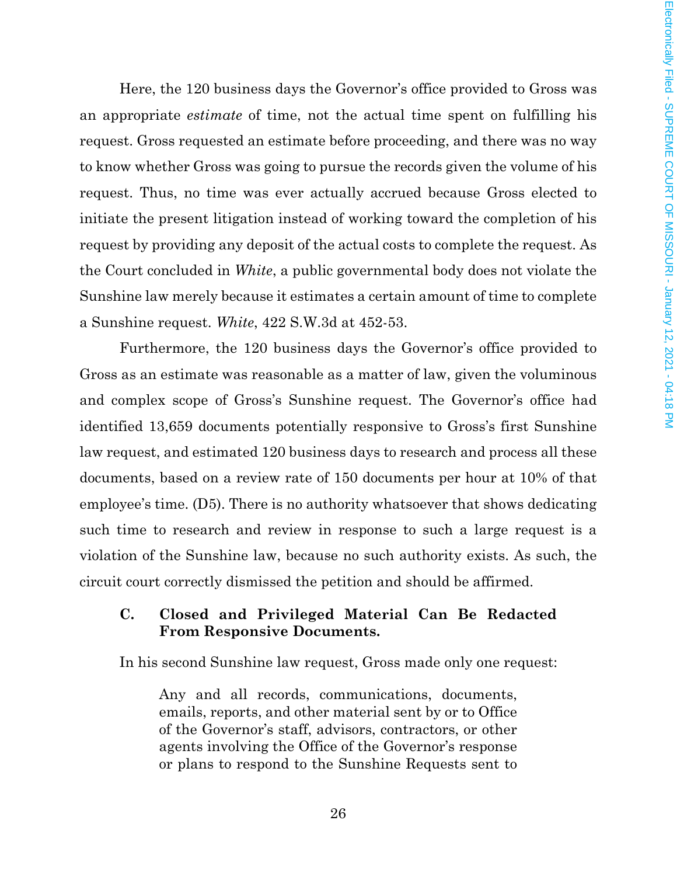Here, the 120 business days the Governor's office provided to Gross was an appropriate *estimate* of time, not the actual time spent on fulfilling his request. Gross requested an estimate before proceeding, and there was no way to know whether Gross was going to pursue the records given the volume of his request. Thus, no time was ever actually accrued because Gross elected to initiate the present litigation instead of working toward the completion of his request by providing any deposit of the actual costs to complete the request. As the Court concluded in *White*, a public governmental body does not violate the Sunshine law merely because it estimates a certain amount of time to complete a Sunshine request. *White*, 422 S.W.3d at 452-53.

Furthermore, the 120 business days the Governor's office provided to Gross as an estimate was reasonable as a matter of law, given the voluminous and complex scope of Gross's Sunshine request. The Governor's office had identified 13,659 documents potentially responsive to Gross's first Sunshine law request, and estimated 120 business days to research and process all these documents, based on a review rate of 150 documents per hour at 10% of that employee's time. (D5). There is no authority whatsoever that shows dedicating such time to research and review in response to such a large request is a violation of the Sunshine law, because no such authority exists. As such, the circuit court correctly dismissed the petition and should be affirmed.

## **C. Closed and Privileged Material Can Be Redacted From Responsive Documents.**

In his second Sunshine law request, Gross made only one request:

Any and all records, communications, documents, emails, reports, and other material sent by or to Office of the Governor's staff, advisors, contractors, or other agents involving the Office of the Governor's response or plans to respond to the Sunshine Requests sent to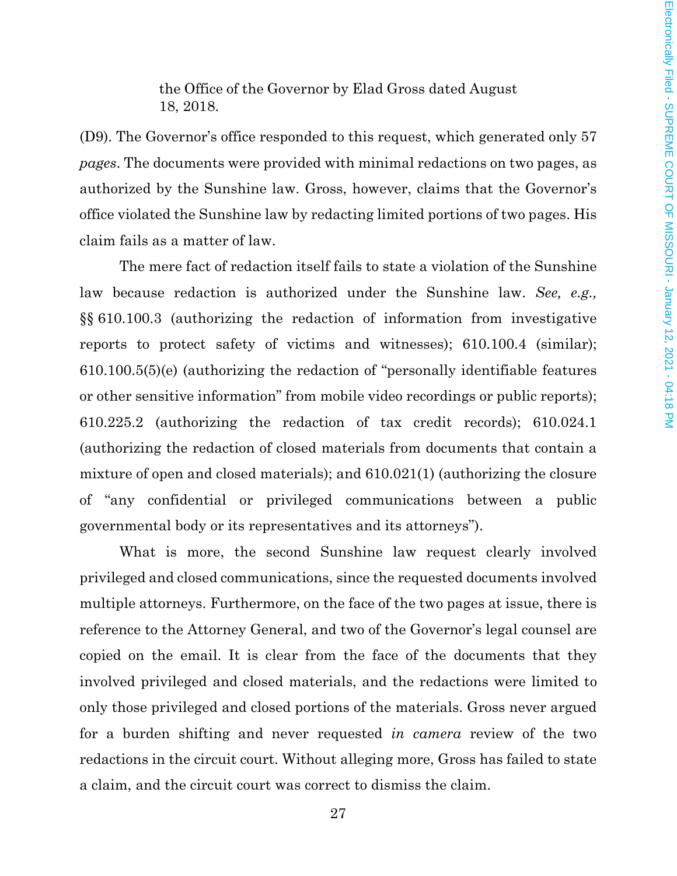the Office of the Governor by Elad Gross dated August 18, 2018.

(D9). The Governor's office responded to this request, which generated only 57 *pages*. The documents were provided with minimal redactions on two pages, as authorized by the Sunshine law. Gross, however, claims that the Governor's office violated the Sunshine law by redacting limited portions of two pages. His claim fails as a matter of law.

The mere fact of redaction itself fails to state a violation of the Sunshine law because redaction is authorized under the Sunshine law. *See, e.g.,*  §§ 610.100.3 (authorizing the redaction of information from investigative reports to protect safety of victims and witnesses); 610.100.4 (similar); 610.100.5(5)(e) (authorizing the redaction of "personally identifiable features or other sensitive information" from mobile video recordings or public reports); 610.225.2 (authorizing the redaction of tax credit records); 610.024.1 (authorizing the redaction of closed materials from documents that contain a mixture of open and closed materials); and 610.021(1) (authorizing the closure of "any confidential or privileged communications between a public governmental body or its representatives and its attorneys").

What is more, the second Sunshine law request clearly involved privileged and closed communications, since the requested documents involved multiple attorneys. Furthermore, on the face of the two pages at issue, there is reference to the Attorney General, and two of the Governor's legal counsel are copied on the email. It is clear from the face of the documents that they involved privileged and closed materials, and the redactions were limited to only those privileged and closed portions of the materials. Gross never argued for a burden shifting and never requested *in camera* review of the two redactions in the circuit court. Without alleging more, Gross has failed to state a claim, and the circuit court was correct to dismiss the claim.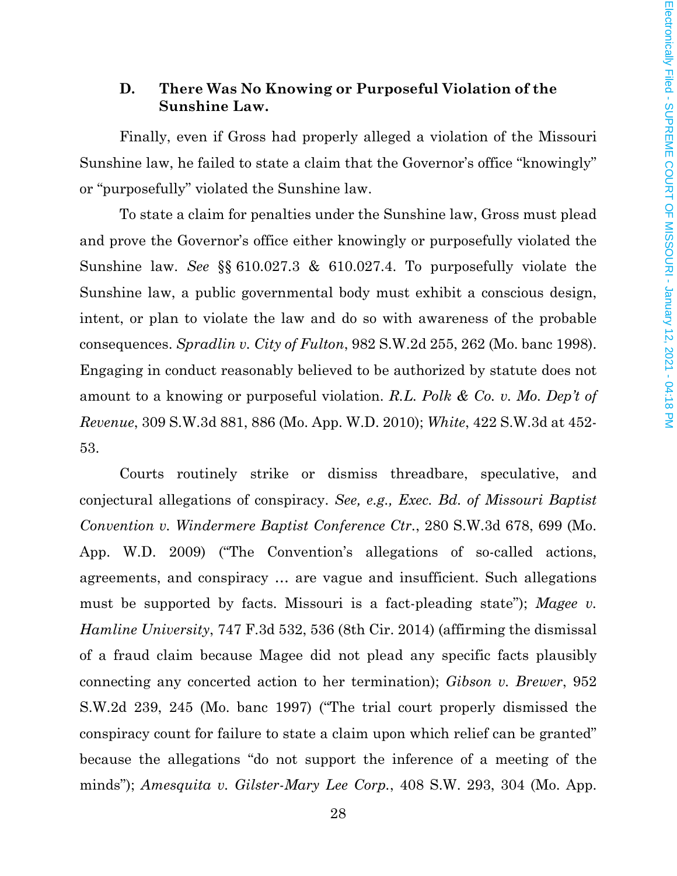## **D. There Was No Knowing or Purposeful Violation of the Sunshine Law.**

Finally, even if Gross had properly alleged a violation of the Missouri Sunshine law, he failed to state a claim that the Governor's office "knowingly" or "purposefully" violated the Sunshine law.

To state a claim for penalties under the Sunshine law, Gross must plead and prove the Governor's office either knowingly or purposefully violated the Sunshine law. *See* §§ 610.027.3 & 610.027.4. To purposefully violate the Sunshine law, a public governmental body must exhibit a conscious design, intent, or plan to violate the law and do so with awareness of the probable consequences. *Spradlin v. City of Fulton*, 982 S.W.2d 255, 262 (Mo. banc 1998). Engaging in conduct reasonably believed to be authorized by statute does not amount to a knowing or purposeful violation. *R.L. Polk & Co. v. Mo. Dep't of Revenue*, 309 S.W.3d 881, 886 (Mo. App. W.D. 2010); *White*, 422 S.W.3d at 452- 53.

Courts routinely strike or dismiss threadbare, speculative, and conjectural allegations of conspiracy. *See, e.g., Exec. Bd. of Missouri Baptist Convention v. Windermere Baptist Conference Ctr.*, 280 S.W.3d 678, 699 (Mo. App. W.D. 2009) ("The Convention's allegations of so-called actions, agreements, and conspiracy … are vague and insufficient. Such allegations must be supported by facts. Missouri is a fact-pleading state"); *Magee v. Hamline University*, 747 F.3d 532, 536 (8th Cir. 2014) (affirming the dismissal of a fraud claim because Magee did not plead any specific facts plausibly connecting any concerted action to her termination); *Gibson v. Brewer*, 952 S.W.2d 239, 245 (Mo. banc 1997) ("The trial court properly dismissed the conspiracy count for failure to state a claim upon which relief can be granted" because the allegations "do not support the inference of a meeting of the minds"); *Amesquita v. Gilster-Mary Lee Corp.*, 408 S.W. 293, 304 (Mo. App.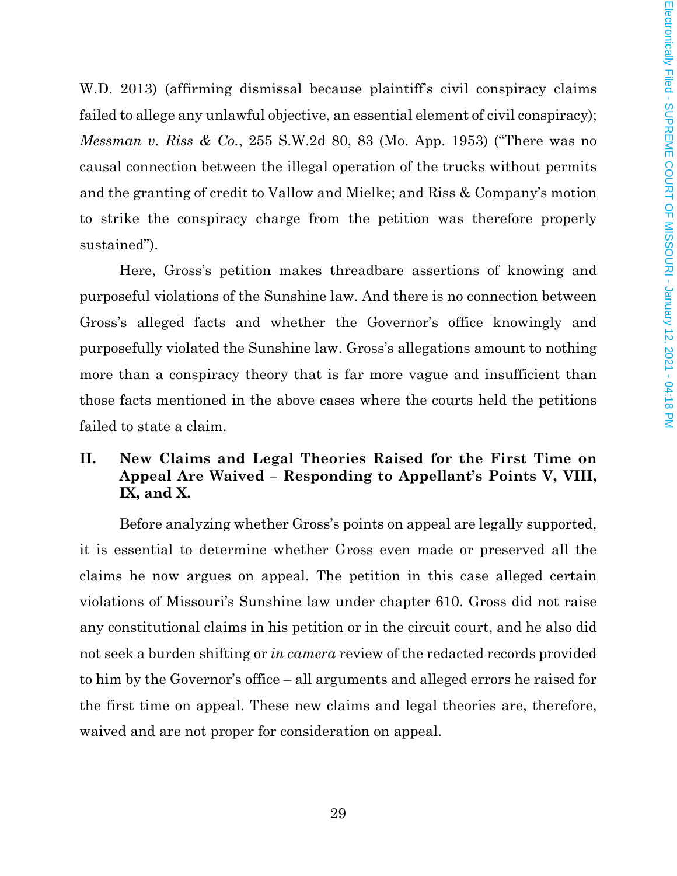W.D. 2013) (affirming dismissal because plaintiff's civil conspiracy claims failed to allege any unlawful objective, an essential element of civil conspiracy); *Messman v. Riss & Co.*, 255 S.W.2d 80, 83 (Mo. App. 1953) ("There was no causal connection between the illegal operation of the trucks without permits and the granting of credit to Vallow and Mielke; and Riss & Company's motion to strike the conspiracy charge from the petition was therefore properly sustained").

Here, Gross's petition makes threadbare assertions of knowing and purposeful violations of the Sunshine law. And there is no connection between Gross's alleged facts and whether the Governor's office knowingly and purposefully violated the Sunshine law. Gross's allegations amount to nothing more than a conspiracy theory that is far more vague and insufficient than those facts mentioned in the above cases where the courts held the petitions failed to state a claim.

# **II. New Claims and Legal Theories Raised for the First Time on Appeal Are Waived – Responding to Appellant's Points V, VIII, IX, and X.**

Before analyzing whether Gross's points on appeal are legally supported, it is essential to determine whether Gross even made or preserved all the claims he now argues on appeal. The petition in this case alleged certain violations of Missouri's Sunshine law under chapter 610. Gross did not raise any constitutional claims in his petition or in the circuit court, and he also did not seek a burden shifting or *in camera* review of the redacted records provided to him by the Governor's office – all arguments and alleged errors he raised for the first time on appeal. These new claims and legal theories are, therefore, waived and are not proper for consideration on appeal.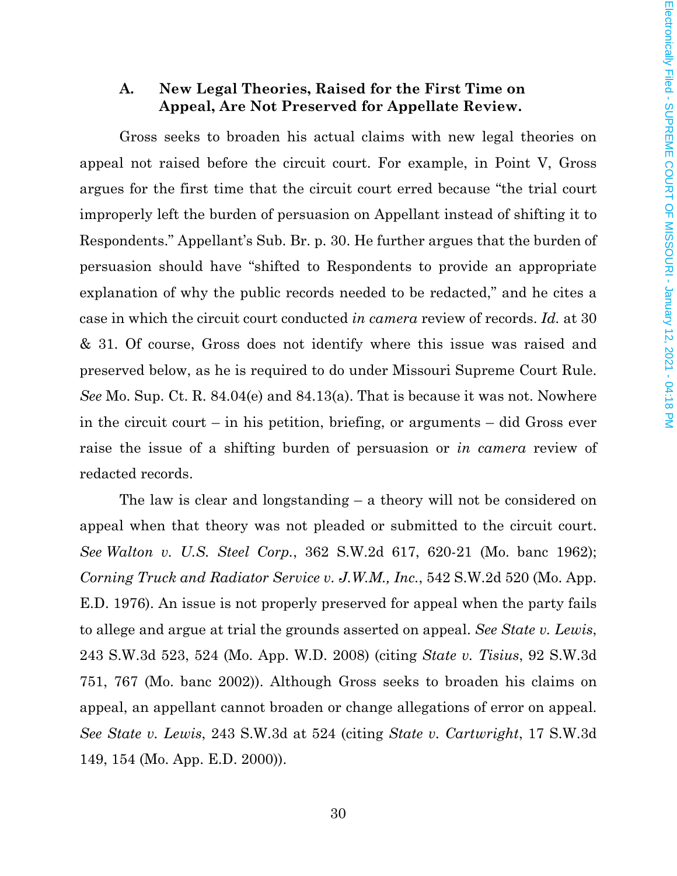### **A. New Legal Theories, Raised for the First Time on Appeal, Are Not Preserved for Appellate Review.**

Gross seeks to broaden his actual claims with new legal theories on appeal not raised before the circuit court. For example, in Point V, Gross argues for the first time that the circuit court erred because "the trial court improperly left the burden of persuasion on Appellant instead of shifting it to Respondents." Appellant's Sub. Br. p. 30. He further argues that the burden of persuasion should have "shifted to Respondents to provide an appropriate explanation of why the public records needed to be redacted," and he cites a case in which the circuit court conducted *in camera* review of records. *Id.* at 30 & 31. Of course, Gross does not identify where this issue was raised and preserved below, as he is required to do under Missouri Supreme Court Rule. *See* Mo. Sup. Ct. R. 84.04(e) and 84.13(a). That is because it was not. Nowhere in the circuit court – in his petition, briefing, or arguments – did Gross ever raise the issue of a shifting burden of persuasion or *in camera* review of redacted records.

The law is clear and longstanding – a theory will not be considered on appeal when that theory was not pleaded or submitted to the circuit court. *See Walton v. U.S. Steel Corp.*, 362 S.W.2d 617, 620-21 (Mo. banc 1962); *Corning Truck and Radiator Service v. J.W.M., Inc.*, 542 S.W.2d 520 (Mo. App. E.D. 1976). An issue is not properly preserved for appeal when the party fails to allege and argue at trial the grounds asserted on appeal. *See State v. Lewis*, 243 S.W.3d 523, 524 (Mo. App. W.D. 2008) (citing *State v. Tisius*, 92 S.W.3d 751, 767 (Mo. banc 2002)). Although Gross seeks to broaden his claims on appeal, an appellant cannot broaden or change allegations of error on appeal. *See State v. Lewis*, 243 S.W.3d at 524 (citing *State v. Cartwright*, 17 S.W.3d 149, 154 (Mo. App. E.D. 2000)).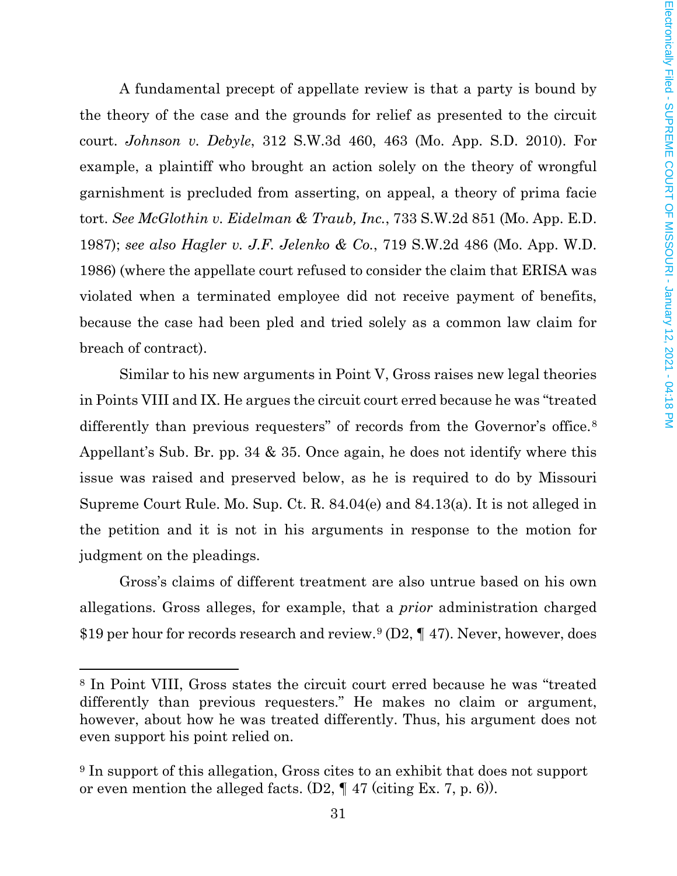A fundamental precept of appellate review is that a party is bound by the theory of the case and the grounds for relief as presented to the circuit court. *Johnson v. Debyle*, 312 S.W.3d 460, 463 (Mo. App. S.D. 2010). For example, a plaintiff who brought an action solely on the theory of wrongful garnishment is precluded from asserting, on appeal, a theory of prima facie tort. *See McGlothin v. Eidelman & Traub, Inc.*, 733 S.W.2d 851 (Mo. App. E.D. 1987); *see also Hagler v. J.F. Jelenko & Co.*, 719 S.W.2d 486 (Mo. App. W.D. 1986) (where the appellate court refused to consider the claim that ERISA was violated when a terminated employee did not receive payment of benefits, because the case had been pled and tried solely as a common law claim for breach of contract).

Similar to his new arguments in Point V, Gross raises new legal theories in Points VIII and IX. He argues the circuit court erred because he was "treated differently than previous requesters" of records from the Governor's office.<sup>[8](#page-30-0)</sup> Appellant's Sub. Br. pp. 34 & 35. Once again, he does not identify where this issue was raised and preserved below, as he is required to do by Missouri Supreme Court Rule. Mo. Sup. Ct. R. 84.04(e) and 84.13(a). It is not alleged in the petition and it is not in his arguments in response to the motion for judgment on the pleadings.

Gross's claims of different treatment are also untrue based on his own allegations. Gross alleges, for example, that a *prior* administration charged \$1[9](#page-30-1) per hour for records research and review.<sup>9</sup> (D2, ¶ 47). Never, however, does

l

<span id="page-30-0"></span><sup>8</sup> In Point VIII, Gross states the circuit court erred because he was "treated differently than previous requesters." He makes no claim or argument, however, about how he was treated differently. Thus, his argument does not even support his point relied on.

<span id="page-30-1"></span><sup>&</sup>lt;sup>9</sup> In support of this allegation, Gross cites to an exhibit that does not support or even mention the alleged facts.  $(D2, \P 47 \text{ (citing Ex. 7, p. 6)}).$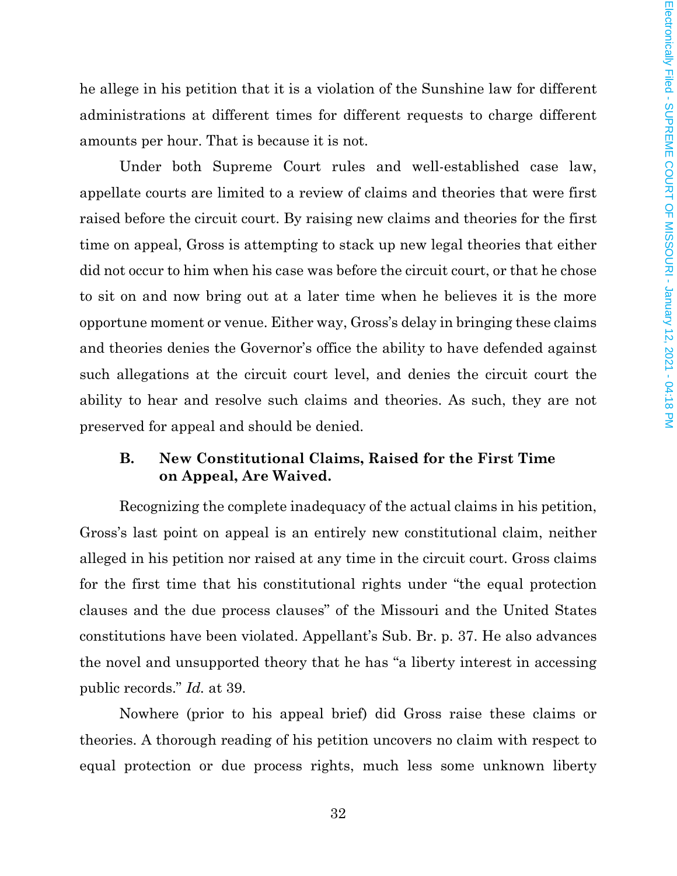he allege in his petition that it is a violation of the Sunshine law for different administrations at different times for different requests to charge different amounts per hour. That is because it is not.

Under both Supreme Court rules and well-established case law, appellate courts are limited to a review of claims and theories that were first raised before the circuit court. By raising new claims and theories for the first time on appeal, Gross is attempting to stack up new legal theories that either did not occur to him when his case was before the circuit court, or that he chose to sit on and now bring out at a later time when he believes it is the more opportune moment or venue. Either way, Gross's delay in bringing these claims and theories denies the Governor's office the ability to have defended against such allegations at the circuit court level, and denies the circuit court the ability to hear and resolve such claims and theories. As such, they are not preserved for appeal and should be denied.

### **B. New Constitutional Claims, Raised for the First Time on Appeal, Are Waived.**

Recognizing the complete inadequacy of the actual claims in his petition, Gross's last point on appeal is an entirely new constitutional claim, neither alleged in his petition nor raised at any time in the circuit court. Gross claims for the first time that his constitutional rights under "the equal protection clauses and the due process clauses" of the Missouri and the United States constitutions have been violated. Appellant's Sub. Br. p. 37. He also advances the novel and unsupported theory that he has "a liberty interest in accessing public records." *Id.* at 39.

Nowhere (prior to his appeal brief) did Gross raise these claims or theories. A thorough reading of his petition uncovers no claim with respect to equal protection or due process rights, much less some unknown liberty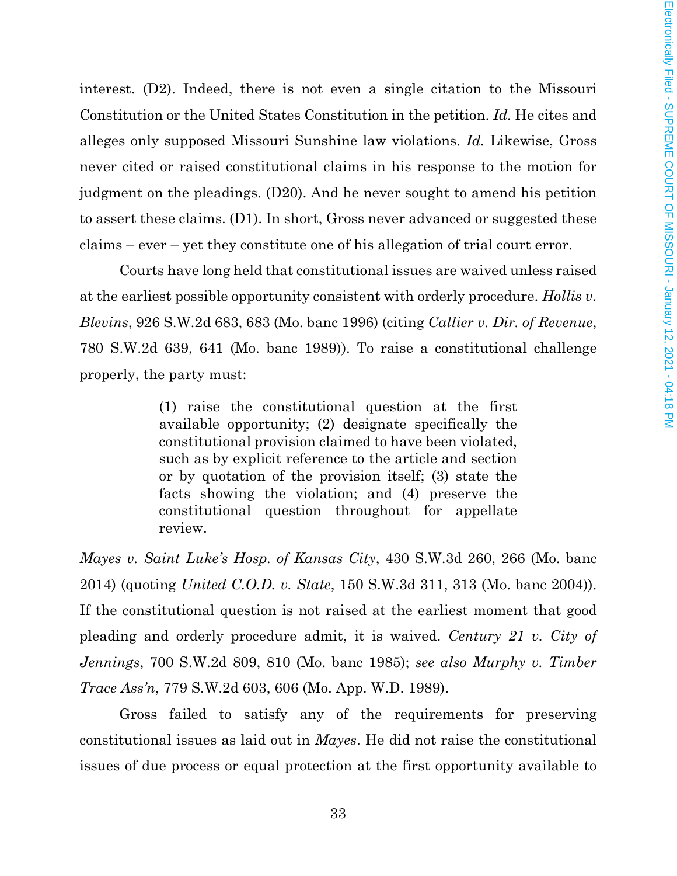interest. (D2). Indeed, there is not even a single citation to the Missouri Constitution or the United States Constitution in the petition. *Id.* He cites and alleges only supposed Missouri Sunshine law violations. *Id.* Likewise, Gross never cited or raised constitutional claims in his response to the motion for judgment on the pleadings. (D20). And he never sought to amend his petition to assert these claims. (D1). In short, Gross never advanced or suggested these claims – ever – yet they constitute one of his allegation of trial court error.

Courts have long held that constitutional issues are waived unless raised at the earliest possible opportunity consistent with orderly procedure. *Hollis v. Blevins*, 926 S.W.2d 683, 683 (Mo. banc 1996) (citing *Callier v. Dir. of Revenue*, 780 S.W.2d 639, 641 (Mo. banc 1989)). To raise a constitutional challenge properly, the party must:

> (1) raise the constitutional question at the first available opportunity; (2) designate specifically the constitutional provision claimed to have been violated, such as by explicit reference to the article and section or by quotation of the provision itself; (3) state the facts showing the violation; and (4) preserve the constitutional question throughout for appellate review.

*Mayes v. Saint Luke's Hosp. of Kansas City*, 430 S.W.3d 260, 266 (Mo. banc 2014) (quoting *United C.O.D. v. State*, 150 S.W.3d 311, 313 (Mo. banc 2004)). If the constitutional question is not raised at the earliest moment that good pleading and orderly procedure admit, it is waived. *Century 21 v. City of Jennings*, 700 S.W.2d 809, 810 (Mo. banc 1985); *see also Murphy v. Timber Trace Ass'n*, 779 S.W.2d 603, 606 (Mo. App. W.D. 1989).

Gross failed to satisfy any of the requirements for preserving constitutional issues as laid out in *Mayes*. He did not raise the constitutional issues of due process or equal protection at the first opportunity available to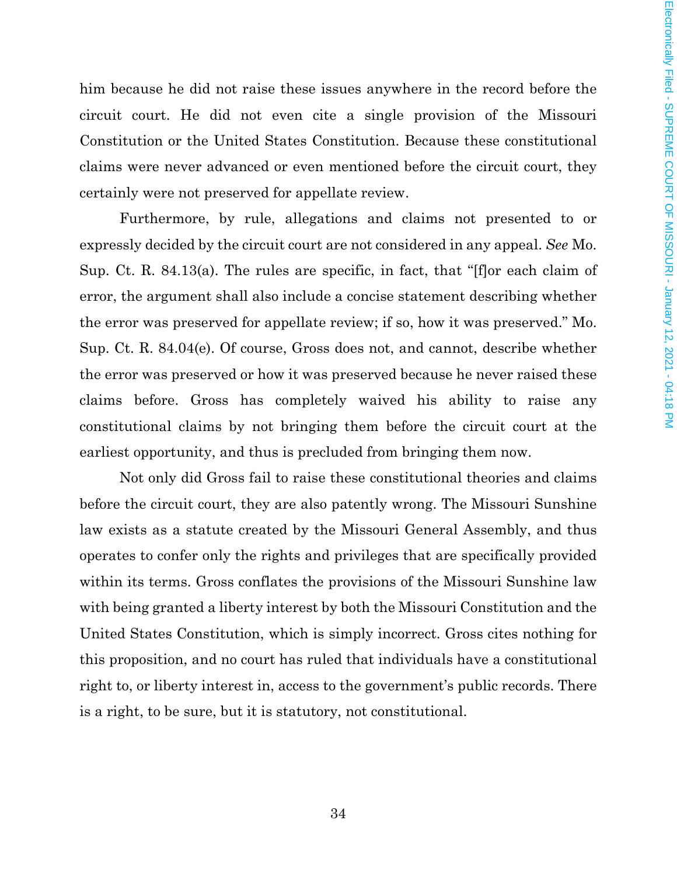him because he did not raise these issues anywhere in the record before the circuit court. He did not even cite a single provision of the Missouri Constitution or the United States Constitution. Because these constitutional claims were never advanced or even mentioned before the circuit court, they certainly were not preserved for appellate review.

Furthermore, by rule, allegations and claims not presented to or expressly decided by the circuit court are not considered in any appeal. *See* Mo. Sup. Ct. R. 84.13(a). The rules are specific, in fact, that "[f]or each claim of error, the argument shall also include a concise statement describing whether the error was preserved for appellate review; if so, how it was preserved." Mo. Sup. Ct. R. 84.04(e). Of course, Gross does not, and cannot, describe whether the error was preserved or how it was preserved because he never raised these claims before. Gross has completely waived his ability to raise any constitutional claims by not bringing them before the circuit court at the earliest opportunity, and thus is precluded from bringing them now.

Not only did Gross fail to raise these constitutional theories and claims before the circuit court, they are also patently wrong. The Missouri Sunshine law exists as a statute created by the Missouri General Assembly, and thus operates to confer only the rights and privileges that are specifically provided within its terms. Gross conflates the provisions of the Missouri Sunshine law with being granted a liberty interest by both the Missouri Constitution and the United States Constitution, which is simply incorrect. Gross cites nothing for this proposition, and no court has ruled that individuals have a constitutional right to, or liberty interest in, access to the government's public records. There is a right, to be sure, but it is statutory, not constitutional.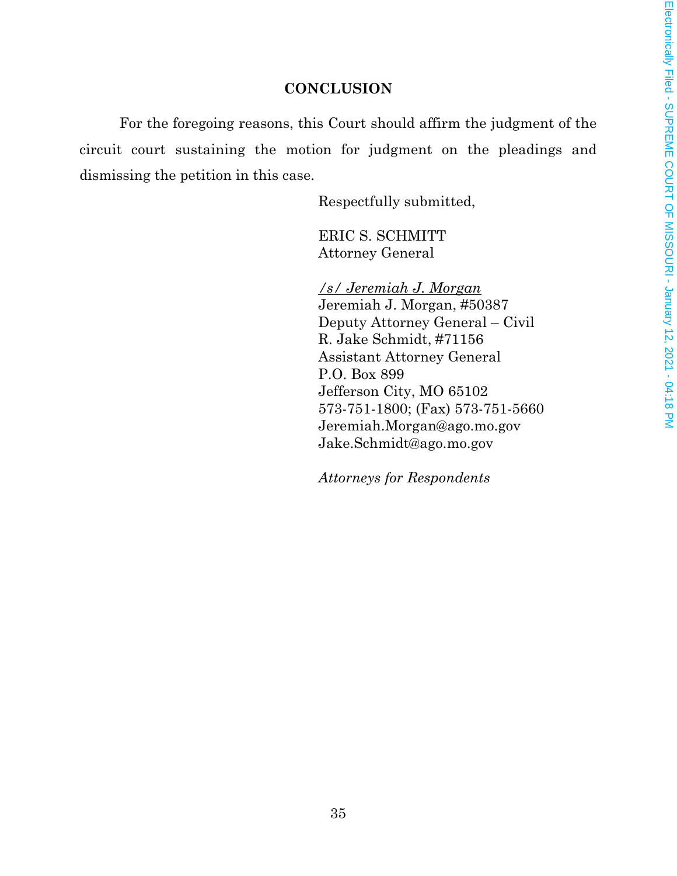# **CONCLUSION**

For the foregoing reasons, this Court should affirm the judgment of the circuit court sustaining the motion for judgment on the pleadings and dismissing the petition in this case.

Respectfully submitted,

ERIC S. SCHMITT Attorney General

*/s/ Jeremiah J. Morgan* Jeremiah J. Morgan, #50387 Deputy Attorney General – Civil R. Jake Schmidt, #71156 Assistant Attorney General P.O. Box 899 Jefferson City, MO 65102 573-751-1800; (Fax) 573-751-5660 Jeremiah.Morgan@ago.mo.gov Jake.Schmidt@ago.mo.gov

*Attorneys for Respondents*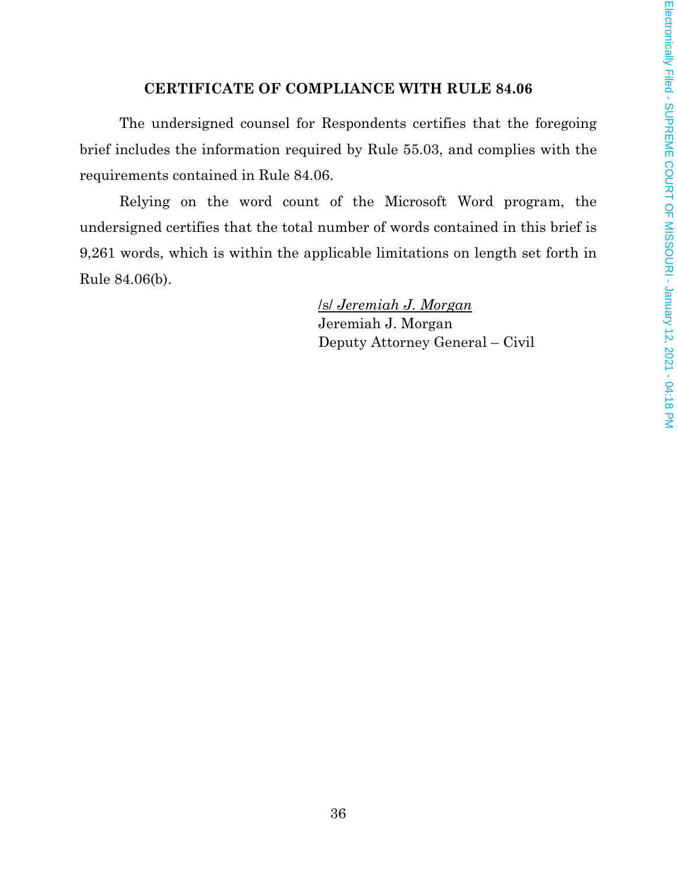## **CERTIFICATE OF COMPLIANCE WITH RULE 84.06**

The undersigned counsel for Respondents certifies that the foregoing brief includes the information required by Rule 55.03, and complies with the requirements contained in Rule 84.06.

Relying on the word count of the Microsoft Word program, the undersigned certifies that the total number of words contained in this brief is 9,261 words, which is within the applicable limitations on length set forth in Rule 84.06(b).

> /s/ *Jeremiah J. Morgan* Jeremiah J. Morgan Deputy Attorney General – Civil